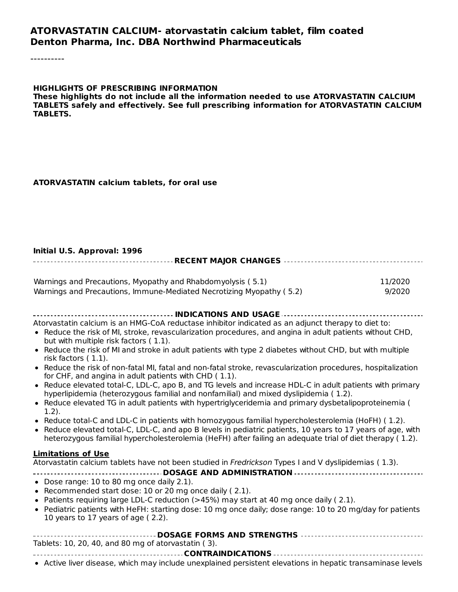#### **ATORVASTATIN CALCIUM- atorvastatin calcium tablet, film coated Denton Pharma, Inc. DBA Northwind Pharmaceuticals**

----------

#### **HIGHLIGHTS OF PRESCRIBING INFORMATION**

**These highlights do not include all the information needed to use ATORVASTATIN CALCIUM TABLETS safely and effectively. See full prescribing information for ATORVASTATIN CALCIUM TABLETS.**

#### **ATORVASTATIN calcium tablets, for oral use**

#### **Initial U.S. Approval: 1996 RECENT MAJOR CHANGES**

| Warnings and Precautions, Myopathy and Rhabdomyolysis (5.1)          | 11/2020 |
|----------------------------------------------------------------------|---------|
| Warnings and Precautions, Immune-Mediated Necrotizing Myopathy (5.2) | 9/2020  |

| Atorvastatin calcium is an HMG-CoA reductase inhibitor indicated as an adjunct therapy to diet to:                                                                                                                      |
|-------------------------------------------------------------------------------------------------------------------------------------------------------------------------------------------------------------------------|
| . Reduce the risk of MI, stroke, revascularization procedures, and angina in adult patients without CHD,<br>but with multiple risk factors (1.1).                                                                       |
| • Reduce the risk of MI and stroke in adult patients with type 2 diabetes without CHD, but with multiple<br>risk factors (1.1).                                                                                         |
| • Reduce the risk of non-fatal MI, fatal and non-fatal stroke, revascularization procedures, hospitalization<br>for CHF, and angina in adult patients with CHD (1.1).                                                   |
| • Reduce elevated total-C, LDL-C, apo B, and TG levels and increase HDL-C in adult patients with primary<br>hyperlipidemia (heterozygous familial and nonfamilial) and mixed dyslipidemia (1.2).                        |
| • Reduce elevated TG in adult patients with hypertriglyceridemia and primary dysbetalipoproteinemia (<br>(1.2).                                                                                                         |
| • Reduce total-C and LDL-C in patients with homozygous familial hypercholesterolemia (HoFH) (1.2).                                                                                                                      |
| • Reduce elevated total-C, LDL-C, and apo B levels in pediatric patients, 10 years to 17 years of age, with<br>heterozygous familial hypercholesterolemia (HeFH) after failing an adequate trial of diet therapy (1.2). |
| <b>Limitations of Use</b>                                                                                                                                                                                               |
| Atorvastatin calcium tablets have not been studied in Fredrickson Types I and V dyslipidemias (1.3).                                                                                                                    |
|                                                                                                                                                                                                                         |
| • Dose range: 10 to 80 mg once daily 2.1).<br>• Recommended start dose: 10 or 20 mg once daily (2.1).                                                                                                                   |
| • Patients requiring large LDL-C reduction (>45%) may start at 40 mg once daily (2.1).                                                                                                                                  |
| • Pediatric patients with HeFH: starting dose: 10 mg once daily; dose range: 10 to 20 mg/day for patients<br>10 years to 17 years of age (2.2).                                                                         |
|                                                                                                                                                                                                                         |
| Tablets: 10, 20, 40, and 80 mg of atorvastatin (3).                                                                                                                                                                     |
|                                                                                                                                                                                                                         |
| • Active liver disease, which may include unexplained persistent elevations in hepatic transaminase levels                                                                                                              |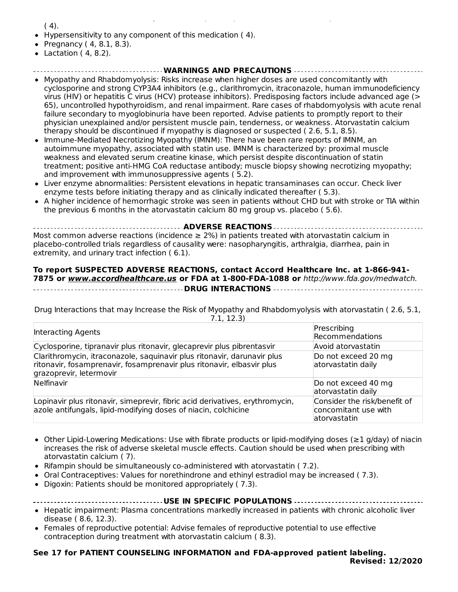Active liver disease, which may include unexplained persistent elevations in hepatic transaminase levels  $(4)$ .

- Hypersensitivity to any component of this medication ( 4).
- Pregnancy ( 4, 8.1, 8.3).
- $\bullet$  Lactation (4, 8.2).

#### **WARNINGS AND PRECAUTIONS**

- Myopathy and Rhabdomyolysis: Risks increase when higher doses are used concomitantly with cyclosporine and strong CYP3A4 inhibitors (e.g., clarithromycin, itraconazole, human immunodeficiency virus (HIV) or hepatitis C virus (HCV) protease inhibitors). Predisposing factors include advanced age (> 65), uncontrolled hypothyroidism, and renal impairment. Rare cases of rhabdomyolysis with acute renal failure secondary to myoglobinuria have been reported. Advise patients to promptly report to their physician unexplained and/or persistent muscle pain, tenderness, or weakness. Atorvastatin calcium therapy should be discontinued if myopathy is diagnosed or suspected ( 2.6, 5.1, 8.5).
- Immune-Mediated Necrotizing Myopathy (IMNM): There have been rare reports of IMNM, an autoimmune myopathy, associated with statin use. IMNM is characterized by: proximal muscle weakness and elevated serum creatine kinase, which persist despite discontinuation of statin treatment; positive anti-HMG CoA reductase antibody; muscle biopsy showing necrotizing myopathy; and improvement with immunosuppressive agents ( 5.2).
- Liver enzyme abnormalities: Persistent elevations in hepatic transaminases can occur. Check liver enzyme tests before initiating therapy and as clinically indicated thereafter ( 5.3).
- A higher incidence of hemorrhagic stroke was seen in patients without CHD but with stroke or TIA within the previous 6 months in the atorvastatin calcium 80 mg group vs. placebo ( 5.6).

**ADVERSE REACTIONS** Most common adverse reactions (incidence  $\geq$  2%) in patients treated with atorvastatin calcium in placebo-controlled trials regardless of causality were: nasopharyngitis, arthralgia, diarrhea, pain in extremity, and urinary tract infection ( 6.1).

#### **To report SUSPECTED ADVERSE REACTIONS, contact Accord Healthcare Inc. at 1-866-941- 7875 or www.accordhealthcare.us or FDA at 1-800-FDA-1088 or** http://www.fda.gov/medwatch. **DRUG INTERACTIONS**

Drug Interactions that may Increase the Risk of Myopathy and Rhabdomyolysis with atorvastatin ( 2.6, 5.1, 7.1, 12.3)

| Interacting Agents                                                                                                                                                          | Prescribing<br>Recommendations                                       |
|-----------------------------------------------------------------------------------------------------------------------------------------------------------------------------|----------------------------------------------------------------------|
| Cyclosporine, tipranavir plus ritonavir, glecaprevir plus pibrentasvir                                                                                                      | Avoid atorvastatin                                                   |
| Clarithromycin, itraconazole, saquinavir plus ritonavir, darunavir plus<br>ritonavir, fosamprenavir, fosamprenavir plus ritonavir, elbasvir plus<br>grazoprevir, letermovir | Do not exceed 20 mg<br>atorvastatin daily                            |
| Nelfinavir                                                                                                                                                                  | Do not exceed 40 mg<br>atorvastatin daily                            |
| Lopinavir plus ritonavir, simeprevir, fibric acid derivatives, erythromycin,<br>azole antifungals, lipid-modifying doses of niacin, colchicine                              | Consider the risk/benefit of<br>concomitant use with<br>atorvastatin |

- Other Lipid-Lowering Medications: Use with fibrate products or lipid-modifying doses (≥1 g/day) of niacin increases the risk of adverse skeletal muscle effects. Caution should be used when prescribing with atorvastatin calcium ( 7).
- $\bullet$  Rifampin should be simultaneously co-administered with atorvastatin (7.2).
- Oral Contraceptives: Values for norethindrone and ethinyl estradiol may be increased ( 7.3).
- Digoxin: Patients should be monitored appropriately ( 7.3).

- Hepatic impairment: Plasma concentrations markedly increased in patients with chronic alcoholic liver disease ( 8.6, 12.3).
- Females of reproductive potential: Advise females of reproductive potential to use effective contraception during treatment with atorvastatin calcium ( 8.3).

#### **See 17 for PATIENT COUNSELING INFORMATION and FDA-approved patient labeling. Revised: 12/2020**

**USE IN SPECIFIC POPULATIONS**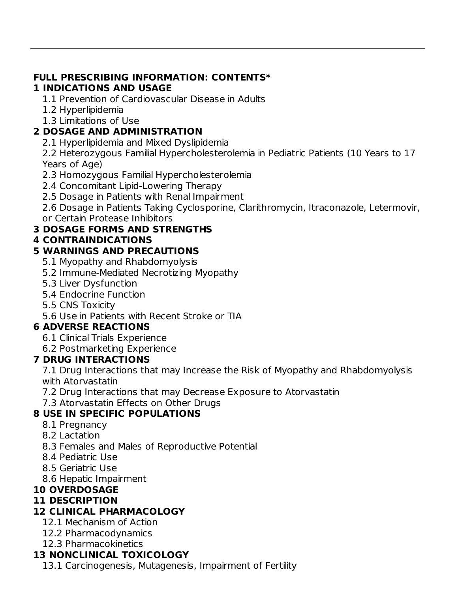#### **FULL PRESCRIBING INFORMATION: CONTENTS\* 1 INDICATIONS AND USAGE**

- 1.1 Prevention of Cardiovascular Disease in Adults
- 1.2 Hyperlipidemia
- 1.3 Limitations of Use

## **2 DOSAGE AND ADMINISTRATION**

2.1 Hyperlipidemia and Mixed Dyslipidemia

2.2 Heterozygous Familial Hypercholesterolemia in Pediatric Patients (10 Years to 17 Years of Age)

- 2.3 Homozygous Familial Hypercholesterolemia
- 2.4 Concomitant Lipid-Lowering Therapy
- 2.5 Dosage in Patients with Renal Impairment

2.6 Dosage in Patients Taking Cyclosporine, Clarithromycin, Itraconazole, Letermovir, or Certain Protease Inhibitors

## **3 DOSAGE FORMS AND STRENGTHS**

#### **4 CONTRAINDICATIONS**

#### **5 WARNINGS AND PRECAUTIONS**

- 5.1 Myopathy and Rhabdomyolysis
- 5.2 Immune-Mediated Necrotizing Myopathy
- 5.3 Liver Dysfunction
- 5.4 Endocrine Function
- 5.5 CNS Toxicity
- 5.6 Use in Patients with Recent Stroke or TIA

#### **6 ADVERSE REACTIONS**

- 6.1 Clinical Trials Experience
- 6.2 Postmarketing Experience

#### **7 DRUG INTERACTIONS**

7.1 Drug Interactions that may Increase the Risk of Myopathy and Rhabdomyolysis with Atorvastatin

- 7.2 Drug Interactions that may Decrease Exposure to Atorvastatin
- 7.3 Atorvastatin Effects on Other Drugs

## **8 USE IN SPECIFIC POPULATIONS**

- 8.1 Pregnancy
- 8.2 Lactation
- 8.3 Females and Males of Reproductive Potential
- 8.4 Pediatric Use
- 8.5 Geriatric Use
- 8.6 Hepatic Impairment

#### **10 OVERDOSAGE**

#### **11 DESCRIPTION**

## **12 CLINICAL PHARMACOLOGY**

- 12.1 Mechanism of Action
- 12.2 Pharmacodynamics
- 12.3 Pharmacokinetics

## **13 NONCLINICAL TOXICOLOGY**

13.1 Carcinogenesis, Mutagenesis, Impairment of Fertility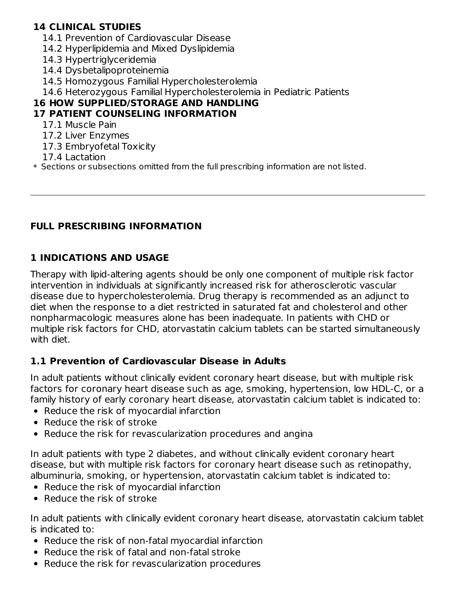#### **14 CLINICAL STUDIES**

- 14.1 Prevention of Cardiovascular Disease
- 14.2 Hyperlipidemia and Mixed Dyslipidemia
- 14.3 Hypertriglyceridemia
- 14.4 Dysbetalipoproteinemia
- 14.5 Homozygous Familial Hypercholesterolemia
- 14.6 Heterozygous Familial Hypercholesterolemia in Pediatric Patients

# **16 HOW SUPPLIED/STORAGE AND HANDLING**

#### **17 PATIENT COUNSELING INFORMATION**

- 17.1 Muscle Pain
- 17.2 Liver Enzymes
- 17.3 Embryofetal Toxicity
- 17.4 Lactation
- $\ast$  Sections or subsections omitted from the full prescribing information are not listed.

#### **FULL PRESCRIBING INFORMATION**

#### **1 INDICATIONS AND USAGE**

Therapy with lipid-altering agents should be only one component of multiple risk factor intervention in individuals at significantly increased risk for atherosclerotic vascular disease due to hypercholesterolemia. Drug therapy is recommended as an adjunct to diet when the response to a diet restricted in saturated fat and cholesterol and other nonpharmacologic measures alone has been inadequate. In patients with CHD or multiple risk factors for CHD, atorvastatin calcium tablets can be started simultaneously with diet.

#### **1.1 Prevention of Cardiovascular Disease in Adults**

In adult patients without clinically evident coronary heart disease, but with multiple risk factors for coronary heart disease such as age, smoking, hypertension, low HDL-C, or a family history of early coronary heart disease, atorvastatin calcium tablet is indicated to:

- Reduce the risk of myocardial infarction
- Reduce the risk of stroke
- Reduce the risk for revascularization procedures and angina

In adult patients with type 2 diabetes, and without clinically evident coronary heart disease, but with multiple risk factors for coronary heart disease such as retinopathy, albuminuria, smoking, or hypertension, atorvastatin calcium tablet is indicated to:

- Reduce the risk of myocardial infarction
- Reduce the risk of stroke

In adult patients with clinically evident coronary heart disease, atorvastatin calcium tablet is indicated to:

- Reduce the risk of non-fatal myocardial infarction
- Reduce the risk of fatal and non-fatal stroke
- Reduce the risk for revascularization procedures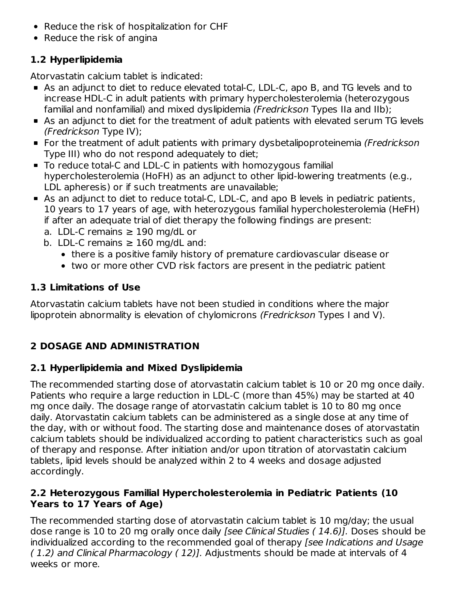- Reduce the risk of hospitalization for CHF
- Reduce the risk of angina

## **1.2 Hyperlipidemia**

Atorvastatin calcium tablet is indicated:

- As an adjunct to diet to reduce elevated total-C, LDL-C, apo B, and TG levels and to increase HDL-C in adult patients with primary hypercholesterolemia (heterozygous familial and nonfamilial) and mixed dyslipidemia (Fredrickson Types IIa and IIb);
- As an adjunct to diet for the treatment of adult patients with elevated serum TG levels (Fredrickson Type IV);
- **For the treatment of adult patients with primary dysbetalipoproteinemia (Fredrickson** Type III) who do not respond adequately to diet;
- To reduce total-C and LDL-C in patients with homozygous familial hypercholesterolemia (HoFH) as an adjunct to other lipid-lowering treatments (e.g., LDL apheresis) or if such treatments are unavailable;
- As an adjunct to diet to reduce total-C, LDL-C, and apo B levels in pediatric patients, 10 years to 17 years of age, with heterozygous familial hypercholesterolemia (HeFH) if after an adequate trial of diet therapy the following findings are present:
	- a. LDL-C remains  $\geq$  190 mg/dL or
	- b. LDL-C remains  $\geq 160$  mg/dL and:
		- there is a positive family history of premature cardiovascular disease or
		- two or more other CVD risk factors are present in the pediatric patient

## **1.3 Limitations of Use**

Atorvastatin calcium tablets have not been studied in conditions where the major lipoprotein abnormality is elevation of chylomicrons (Fredrickson Types I and V).

# **2 DOSAGE AND ADMINISTRATION**

# **2.1 Hyperlipidemia and Mixed Dyslipidemia**

The recommended starting dose of atorvastatin calcium tablet is 10 or 20 mg once daily. Patients who require a large reduction in LDL-C (more than 45%) may be started at 40 mg once daily. The dosage range of atorvastatin calcium tablet is 10 to 80 mg once daily. Atorvastatin calcium tablets can be administered as a single dose at any time of the day, with or without food. The starting dose and maintenance doses of atorvastatin calcium tablets should be individualized according to patient characteristics such as goal of therapy and response. After initiation and/or upon titration of atorvastatin calcium tablets, lipid levels should be analyzed within 2 to 4 weeks and dosage adjusted accordingly.

#### **2.2 Heterozygous Familial Hypercholesterolemia in Pediatric Patients (10 Years to 17 Years of Age)**

The recommended starting dose of atorvastatin calcium tablet is 10 mg/day; the usual dose range is 10 to 20 mg orally once daily [see Clinical Studies ( 14.6)]. Doses should be individualized according to the recommended goal of therapy [see Indications and Usage ( 1.2) and Clinical Pharmacology ( 12)]. Adjustments should be made at intervals of 4 weeks or more.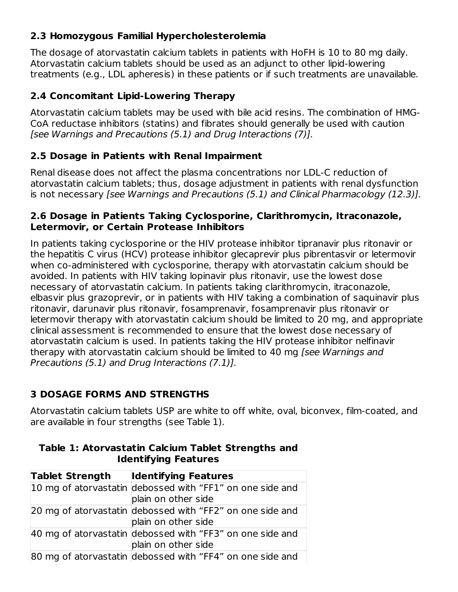## **2.3 Homozygous Familial Hypercholesterolemia**

The dosage of atorvastatin calcium tablets in patients with HoFH is 10 to 80 mg daily. Atorvastatin calcium tablets should be used as an adjunct to other lipid-lowering treatments (e.g., LDL apheresis) in these patients or if such treatments are unavailable.

## **2.4 Concomitant Lipid-Lowering Therapy**

Atorvastatin calcium tablets may be used with bile acid resins. The combination of HMG-CoA reductase inhibitors (statins) and fibrates should generally be used with caution [see Warnings and Precautions (5.1) and Drug Interactions (7)].

## **2.5 Dosage in Patients with Renal Impairment**

Renal disease does not affect the plasma concentrations nor LDL-C reduction of atorvastatin calcium tablets; thus, dosage adjustment in patients with renal dysfunction is not necessary [see Warnings and Precautions (5.1) and Clinical Pharmacology (12.3)].

#### **2.6 Dosage in Patients Taking Cyclosporine, Clarithromycin, Itraconazole, Letermovir, or Certain Protease Inhibitors**

In patients taking cyclosporine or the HIV protease inhibitor tipranavir plus ritonavir or the hepatitis C virus (HCV) protease inhibitor glecaprevir plus pibrentasvir or letermovir when co-administered with cyclosporine, therapy with atorvastatin calcium should be avoided. In patients with HIV taking lopinavir plus ritonavir, use the lowest dose necessary of atorvastatin calcium. In patients taking clarithromycin, itraconazole, elbasvir plus grazoprevir, or in patients with HIV taking a combination of saquinavir plus ritonavir, darunavir plus ritonavir, fosamprenavir, fosamprenavir plus ritonavir or letermovir therapy with atorvastatin calcium should be limited to 20 mg, and appropriate clinical assessment is recommended to ensure that the lowest dose necessary of atorvastatin calcium is used. In patients taking the HIV protease inhibitor nelfinavir therapy with atorvastatin calcium should be limited to 40 mg [see Warnings and Precautions (5.1) and Drug Interactions (7.1)].

# **3 DOSAGE FORMS AND STRENGTHS**

Atorvastatin calcium tablets USP are white to off white, oval, biconvex, film-coated, and are available in four strengths (see Table 1).

| <b>Tablet Strength</b> | <b>Identifying Features</b>                               |
|------------------------|-----------------------------------------------------------|
|                        | 10 mg of atorvastatin debossed with "FF1" on one side and |
|                        | plain on other side                                       |
|                        | 20 mg of atorvastatin debossed with "FF2" on one side and |
|                        | plain on other side                                       |
|                        | 40 mg of atorvastatin debossed with "FF3" on one side and |
|                        | plain on other side                                       |
|                        | 80 mg of atorvastatin debossed with "FF4" on one side and |

#### **Table 1: Atorvastatin Calcium Tablet Strengths and Identifying Features**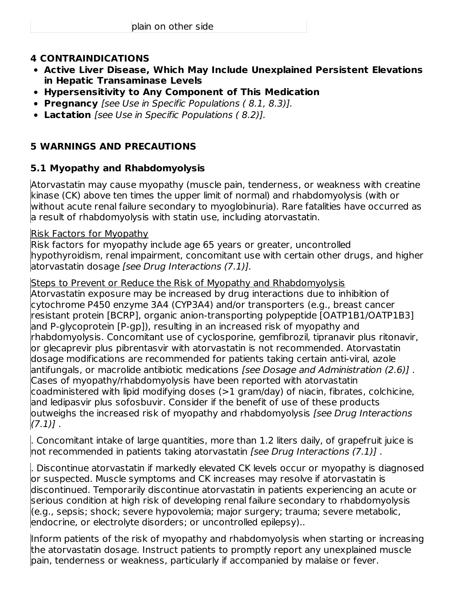#### **4 CONTRAINDICATIONS**

- **Active Liver Disease, Which May Include Unexplained Persistent Elevations in Hepatic Transaminase Levels**
- **Hypersensitivity to Any Component of This Medication**
- **Pregnancy** [see Use in Specific Populations ( 8.1, 8.3)].
- **Lactation** [see Use in Specific Populations ( 8.2)].

## **5 WARNINGS AND PRECAUTIONS**

## **5.1 Myopathy and Rhabdomyolysis**

Atorvastatin may cause myopathy (muscle pain, tenderness, or weakness with creatine kinase (CK) above ten times the upper limit of normal) and rhabdomyolysis (with or without acute renal failure secondary to myoglobinuria). Rare fatalities have occurred as a result of rhabdomyolysis with statin use, including atorvastatin.

#### Risk Factors for Myopathy

Risk factors for myopathy include age 65 years or greater, uncontrolled hypothyroidism, renal impairment, concomitant use with certain other drugs, and higher atorvastatin dosage [see Drug Interactions (7.1)].

Steps to Prevent or Reduce the Risk of Myopathy and Rhabdomyolysis Atorvastatin exposure may be increased by drug interactions due to inhibition of cytochrome P450 enzyme 3A4 (CYP3A4) and/or transporters (e.g., breast cancer resistant protein [BCRP], organic anion-transporting polypeptide [OATP1B1/OATP1B3] and P-glycoprotein [P-gp]), resulting in an increased risk of myopathy and rhabdomyolysis. Concomitant use of cyclosporine, gemfibrozil, tipranavir plus ritonavir, or glecaprevir plus pibrentasvir with atorvastatin is not recommended. Atorvastatin dosage modifications are recommended for patients taking certain anti-viral, azole antifungals, or macrolide antibiotic medications [see Dosage and Administration (2.6)] . Cases of myopathy/rhabdomyolysis have been reported with atorvastatin coadministered with lipid modifying doses (>1 gram/day) of niacin, fibrates, colchicine, and ledipasvir plus sofosbuvir. Consider if the benefit of use of these products outweighs the increased risk of myopathy and rhabdomyolysis [see Drug Interactions  $(7.1)$ .

. Concomitant intake of large quantities, more than 1.2 liters daily, of grapefruit juice is not recommended in patients taking atorvastatin [see Drug Interactions (7.1)] .

. Discontinue atorvastatin if markedly elevated CK levels occur or myopathy is diagnosed or suspected. Muscle symptoms and CK increases may resolve if atorvastatin is discontinued. Temporarily discontinue atorvastatin in patients experiencing an acute or serious condition at high risk of developing renal failure secondary to rhabdomyolysis (e.g., sepsis; shock; severe hypovolemia; major surgery; trauma; severe metabolic, endocrine, or electrolyte disorders; or uncontrolled epilepsy)..

Inform patients of the risk of myopathy and rhabdomyolysis when starting or increasing the atorvastatin dosage. Instruct patients to promptly report any unexplained muscle pain, tenderness or weakness, particularly if accompanied by malaise or fever.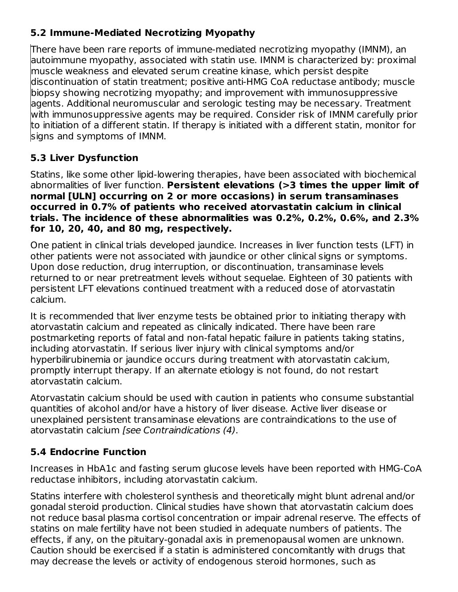## **5.2 Immune-Mediated Necrotizing Myopathy**

There have been rare reports of immune-mediated necrotizing myopathy (IMNM), an autoimmune myopathy, associated with statin use. IMNM is characterized by: proximal muscle weakness and elevated serum creatine kinase, which persist despite discontinuation of statin treatment; positive anti-HMG CoA reductase antibody; muscle biopsy showing necrotizing myopathy; and improvement with immunosuppressive agents. Additional neuromuscular and serologic testing may be necessary. Treatment with immunosuppressive agents may be required. Consider risk of IMNM carefully prior to initiation of a different statin. If therapy is initiated with a different statin, monitor for signs and symptoms of IMNM.

## **5.3 Liver Dysfunction**

Statins, like some other lipid-lowering therapies, have been associated with biochemical abnormalities of liver function. **Persistent elevations (>3 times the upper limit of normal [ULN] occurring on 2 or more occasions) in serum transaminases occurred in 0.7% of patients who received atorvastatin calcium in clinical trials. The incidence of these abnormalities was 0.2%, 0.2%, 0.6%, and 2.3% for 10, 20, 40, and 80 mg, respectively.**

One patient in clinical trials developed jaundice. Increases in liver function tests (LFT) in other patients were not associated with jaundice or other clinical signs or symptoms. Upon dose reduction, drug interruption, or discontinuation, transaminase levels returned to or near pretreatment levels without sequelae. Eighteen of 30 patients with persistent LFT elevations continued treatment with a reduced dose of atorvastatin calcium.

It is recommended that liver enzyme tests be obtained prior to initiating therapy with atorvastatin calcium and repeated as clinically indicated. There have been rare postmarketing reports of fatal and non-fatal hepatic failure in patients taking statins, including atorvastatin. If serious liver injury with clinical symptoms and/or hyperbilirubinemia or jaundice occurs during treatment with atorvastatin calcium, promptly interrupt therapy. If an alternate etiology is not found, do not restart atorvastatin calcium.

Atorvastatin calcium should be used with caution in patients who consume substantial quantities of alcohol and/or have a history of liver disease. Active liver disease or unexplained persistent transaminase elevations are contraindications to the use of atorvastatin calcium [see Contraindications (4).

# **5.4 Endocrine Function**

Increases in HbA1c and fasting serum glucose levels have been reported with HMG-CoA reductase inhibitors, including atorvastatin calcium.

Statins interfere with cholesterol synthesis and theoretically might blunt adrenal and/or gonadal steroid production. Clinical studies have shown that atorvastatin calcium does not reduce basal plasma cortisol concentration or impair adrenal reserve. The effects of statins on male fertility have not been studied in adequate numbers of patients. The effects, if any, on the pituitary-gonadal axis in premenopausal women are unknown. Caution should be exercised if a statin is administered concomitantly with drugs that may decrease the levels or activity of endogenous steroid hormones, such as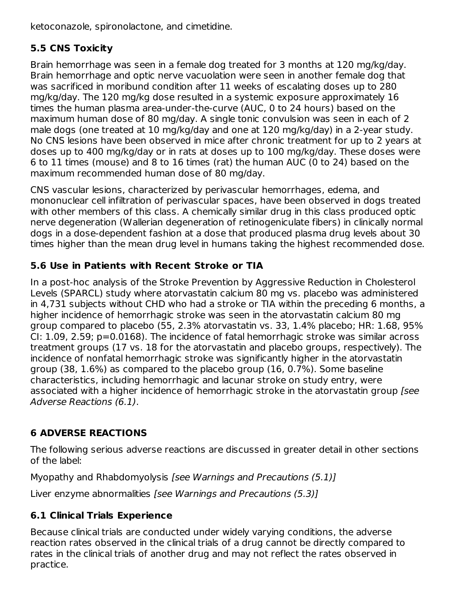ketoconazole, spironolactone, and cimetidine.

# **5.5 CNS Toxicity**

Brain hemorrhage was seen in a female dog treated for 3 months at 120 mg/kg/day. Brain hemorrhage and optic nerve vacuolation were seen in another female dog that was sacrificed in moribund condition after 11 weeks of escalating doses up to 280 mg/kg/day. The 120 mg/kg dose resulted in a systemic exposure approximately 16 times the human plasma area-under-the-curve (AUC, 0 to 24 hours) based on the maximum human dose of 80 mg/day. A single tonic convulsion was seen in each of 2 male dogs (one treated at 10 mg/kg/day and one at 120 mg/kg/day) in a 2-year study. No CNS lesions have been observed in mice after chronic treatment for up to 2 years at doses up to 400 mg/kg/day or in rats at doses up to 100 mg/kg/day. These doses were 6 to 11 times (mouse) and 8 to 16 times (rat) the human AUC (0 to 24) based on the maximum recommended human dose of 80 mg/day.

CNS vascular lesions, characterized by perivascular hemorrhages, edema, and mononuclear cell infiltration of perivascular spaces, have been observed in dogs treated with other members of this class. A chemically similar drug in this class produced optic nerve degeneration (Wallerian degeneration of retinogeniculate fibers) in clinically normal dogs in a dose-dependent fashion at a dose that produced plasma drug levels about 30 times higher than the mean drug level in humans taking the highest recommended dose.

## **5.6 Use in Patients with Recent Stroke or TIA**

In a post-hoc analysis of the Stroke Prevention by Aggressive Reduction in Cholesterol Levels (SPARCL) study where atorvastatin calcium 80 mg vs. placebo was administered in 4,731 subjects without CHD who had a stroke or TIA within the preceding 6 months, a higher incidence of hemorrhagic stroke was seen in the atorvastatin calcium 80 mg group compared to placebo (55, 2.3% atorvastatin vs. 33, 1.4% placebo; HR: 1.68, 95% CI: 1.09, 2.59; p=0.0168). The incidence of fatal hemorrhagic stroke was similar across treatment groups (17 vs. 18 for the atorvastatin and placebo groups, respectively). The incidence of nonfatal hemorrhagic stroke was significantly higher in the atorvastatin group (38, 1.6%) as compared to the placebo group (16, 0.7%). Some baseline characteristics, including hemorrhagic and lacunar stroke on study entry, were associated with a higher incidence of hemorrhagic stroke in the atorvastatin group [see Adverse Reactions (6.1).

# **6 ADVERSE REACTIONS**

The following serious adverse reactions are discussed in greater detail in other sections of the label:

Myopathy and Rhabdomyolysis [see Warnings and Precautions (5.1)]

Liver enzyme abnormalities [see Warnings and Precautions (5.3)]

# **6.1 Clinical Trials Experience**

Because clinical trials are conducted under widely varying conditions, the adverse reaction rates observed in the clinical trials of a drug cannot be directly compared to rates in the clinical trials of another drug and may not reflect the rates observed in practice.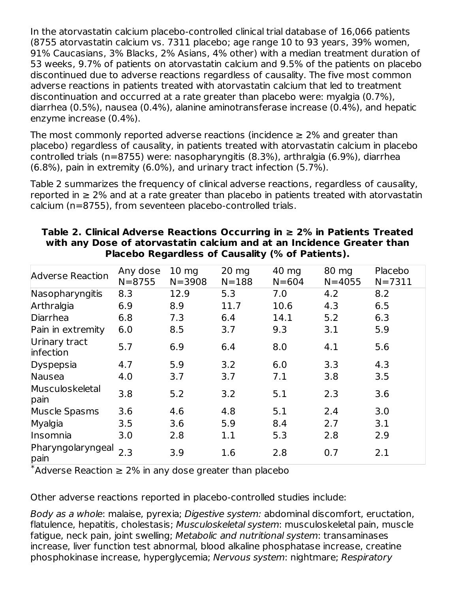In the atorvastatin calcium placebo-controlled clinical trial database of 16,066 patients (8755 atorvastatin calcium vs. 7311 placebo; age range 10 to 93 years, 39% women, 91% Caucasians, 3% Blacks, 2% Asians, 4% other) with a median treatment duration of 53 weeks, 9.7% of patients on atorvastatin calcium and 9.5% of the patients on placebo discontinued due to adverse reactions regardless of causality. The five most common adverse reactions in patients treated with atorvastatin calcium that led to treatment discontinuation and occurred at a rate greater than placebo were: myalgia (0.7%), diarrhea (0.5%), nausea (0.4%), alanine aminotransferase increase (0.4%), and hepatic enzyme increase (0.4%).

The most commonly reported adverse reactions (incidence  $\geq 2\%$  and greater than placebo) regardless of causality, in patients treated with atorvastatin calcium in placebo controlled trials (n=8755) were: nasopharyngitis (8.3%), arthralgia (6.9%), diarrhea (6.8%), pain in extremity (6.0%), and urinary tract infection (5.7%).

Table 2 summarizes the frequency of clinical adverse reactions, regardless of causality, reported in  $\geq$  2% and at a rate greater than placebo in patients treated with atorvastatin calcium (n=8755), from seventeen placebo-controlled trials.

| <b>Adverse Reaction</b>    | Any dose<br>$N = 8755$ | $10 \text{ mg}$<br>$N = 3908$ | $20 \text{ mg}$<br>$N = 188$ | 40 mg<br>$N = 604$ | 80 mg<br>$N = 4055$ | Placebo<br>$N = 7311$ |
|----------------------------|------------------------|-------------------------------|------------------------------|--------------------|---------------------|-----------------------|
| Nasopharyngitis            | 8.3                    | 12.9                          | 5.3                          | 7.0                | 4.2                 | 8.2                   |
| Arthralgia                 | 6.9                    | 8.9                           | 11.7                         | 10.6               | 4.3                 | 6.5                   |
| Diarrhea                   | 6.8                    | 7.3                           | 6.4                          | 14.1               | 5.2                 | 6.3                   |
| Pain in extremity          | 6.0                    | 8.5                           | 3.7                          | 9.3                | 3.1                 | 5.9                   |
| Urinary tract<br>infection | 5.7                    | 6.9                           | 6.4                          | 8.0                | 4.1                 | 5.6                   |
| Dyspepsia                  | 4.7                    | 5.9                           | 3.2                          | 6.0                | 3.3                 | 4.3                   |
| Nausea                     | 4.0                    | 3.7                           | 3.7                          | 7.1                | 3.8                 | 3.5                   |
| Musculoskeletal<br>pain    | 3.8                    | 5.2                           | 3.2                          | 5.1                | 2.3                 | 3.6                   |
| Muscle Spasms              | 3.6                    | 4.6                           | 4.8                          | 5.1                | 2.4                 | 3.0                   |
| Myalgia                    | 3.5                    | 3.6                           | 5.9                          | 8.4                | 2.7                 | 3.1                   |
| Insomnia                   | 3.0                    | 2.8                           | 1.1                          | 5.3                | 2.8                 | 2.9                   |
| Pharyngolaryngeal<br>pain  | 2.3                    | 3.9                           | 1.6                          | 2.8                | 0.7                 | 2.1                   |

#### **Table 2. Clinical Adverse Reactions Occurring in ≥ 2% in Patients Treated with any Dose of atorvastatin calcium and at an Incidence Greater than Placebo Regardless of Causality (% of Patients).**

 $*$ Adverse Reaction  $\geq 2\%$  in any dose greater than placebo

Other adverse reactions reported in placebo-controlled studies include:

Body as a whole: malaise, pyrexia; Digestive system: abdominal discomfort, eructation, flatulence, hepatitis, cholestasis; Musculoskeletal system: musculoskeletal pain, muscle fatigue, neck pain, joint swelling; Metabolic and nutritional system: transaminases increase, liver function test abnormal, blood alkaline phosphatase increase, creatine phosphokinase increase, hyperglycemia; Nervous system: nightmare; Respiratory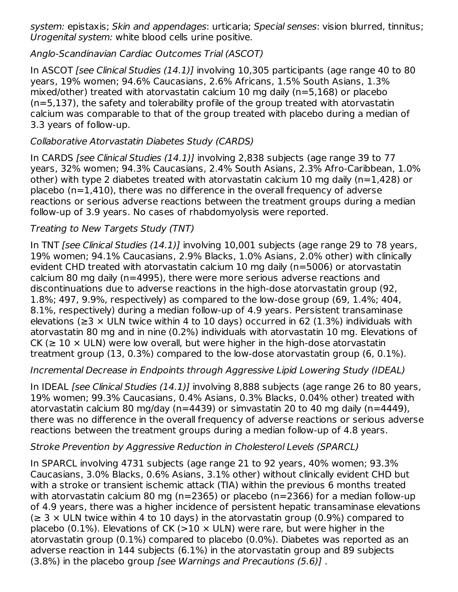system: epistaxis; Skin and appendages: urticaria; Special senses: vision blurred, tinnitus; Urogenital system: white blood cells urine positive.

## Anglo-Scandinavian Cardiac Outcomes Trial (ASCOT)

In ASCOT [see Clinical Studies (14.1)] involving 10,305 participants (age range 40 to 80 years, 19% women; 94.6% Caucasians, 2.6% Africans, 1.5% South Asians, 1.3% mixed/other) treated with atorvastatin calcium 10 mg daily (n=5,168) or placebo (n=5,137), the safety and tolerability profile of the group treated with atorvastatin calcium was comparable to that of the group treated with placebo during a median of 3.3 years of follow-up.

## Collaborative Atorvastatin Diabetes Study (CARDS)

In CARDS [see Clinical Studies (14.1)] involving 2,838 subjects (age range 39 to 77 years, 32% women; 94.3% Caucasians, 2.4% South Asians, 2.3% Afro-Caribbean, 1.0% other) with type 2 diabetes treated with atorvastatin calcium 10 mg daily (n=1,428) or placebo (n=1,410), there was no difference in the overall frequency of adverse reactions or serious adverse reactions between the treatment groups during a median follow-up of 3.9 years. No cases of rhabdomyolysis were reported.

## Treating to New Targets Study (TNT)

In TNT [see Clinical Studies (14.1)] involving 10,001 subjects (age range 29 to 78 years, 19% women; 94.1% Caucasians, 2.9% Blacks, 1.0% Asians, 2.0% other) with clinically evident CHD treated with atorvastatin calcium 10 mg daily (n=5006) or atorvastatin calcium 80 mg daily (n=4995), there were more serious adverse reactions and discontinuations due to adverse reactions in the high-dose atorvastatin group (92, 1.8%; 497, 9.9%, respectively) as compared to the low-dose group (69, 1.4%; 404, 8.1%, respectively) during a median follow-up of 4.9 years. Persistent transaminase elevations ( $\geq$ 3 × ULN twice within 4 to 10 days) occurred in 62 (1.3%) individuals with atorvastatin 80 mg and in nine (0.2%) individuals with atorvastatin 10 mg. Elevations of CK ( $\geq$  10  $\times$  ULN) were low overall, but were higher in the high-dose atorvastatin treatment group (13, 0.3%) compared to the low-dose atorvastatin group (6, 0.1%).

#### Incremental Decrease in Endpoints through Aggressive Lipid Lowering Study (IDEAL)

In IDEAL [see Clinical Studies (14.1)] involving 8,888 subjects (age range 26 to 80 years, 19% women; 99.3% Caucasians, 0.4% Asians, 0.3% Blacks, 0.04% other) treated with atorvastatin calcium 80 mg/day (n=4439) or simvastatin 20 to 40 mg daily (n=4449), there was no difference in the overall frequency of adverse reactions or serious adverse reactions between the treatment groups during a median follow-up of 4.8 years.

#### Stroke Prevention by Aggressive Reduction in Cholesterol Levels (SPARCL)

In SPARCL involving 4731 subjects (age range 21 to 92 years, 40% women; 93.3% Caucasians, 3.0% Blacks, 0.6% Asians, 3.1% other) without clinically evident CHD but with a stroke or transient ischemic attack (TIA) within the previous 6 months treated with atorvastatin calcium 80 mg (n=2365) or placebo (n=2366) for a median follow-up of 4.9 years, there was a higher incidence of persistent hepatic transaminase elevations  $\geq$  3  $\times$  ULN twice within 4 to 10 days) in the atorvastatin group (0.9%) compared to placebo (0.1%). Elevations of CK ( $>10 \times$  ULN) were rare, but were higher in the atorvastatin group (0.1%) compared to placebo (0.0%). Diabetes was reported as an adverse reaction in 144 subjects (6.1%) in the atorvastatin group and 89 subjects (3.8%) in the placebo group [see Warnings and Precautions (5.6)] .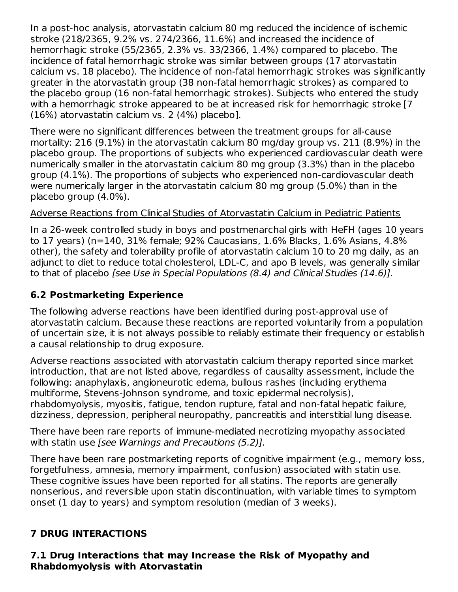In a post-hoc analysis, atorvastatin calcium 80 mg reduced the incidence of ischemic stroke (218/2365, 9.2% vs. 274/2366, 11.6%) and increased the incidence of hemorrhagic stroke (55/2365, 2.3% vs. 33/2366, 1.4%) compared to placebo. The incidence of fatal hemorrhagic stroke was similar between groups (17 atorvastatin calcium vs. 18 placebo). The incidence of non-fatal hemorrhagic strokes was significantly greater in the atorvastatin group (38 non-fatal hemorrhagic strokes) as compared to the placebo group (16 non-fatal hemorrhagic strokes). Subjects who entered the study with a hemorrhagic stroke appeared to be at increased risk for hemorrhagic stroke [7 (16%) atorvastatin calcium vs. 2 (4%) placebo].

There were no significant differences between the treatment groups for all-cause mortality: 216 (9.1%) in the atorvastatin calcium 80 mg/day group vs. 211 (8.9%) in the placebo group. The proportions of subjects who experienced cardiovascular death were numerically smaller in the atorvastatin calcium 80 mg group (3.3%) than in the placebo group (4.1%). The proportions of subjects who experienced non-cardiovascular death were numerically larger in the atorvastatin calcium 80 mg group (5.0%) than in the placebo group (4.0%).

## Adverse Reactions from Clinical Studies of Atorvastatin Calcium in Pediatric Patients

In a 26-week controlled study in boys and postmenarchal girls with HeFH (ages 10 years to 17 years) (n=140, 31% female; 92% Caucasians, 1.6% Blacks, 1.6% Asians, 4.8% other), the safety and tolerability profile of atorvastatin calcium 10 to 20 mg daily, as an adjunct to diet to reduce total cholesterol, LDL-C, and apo B levels, was generally similar to that of placebo [see Use in Special Populations (8.4) and Clinical Studies (14.6)].

## **6.2 Postmarketing Experience**

The following adverse reactions have been identified during post-approval use of atorvastatin calcium. Because these reactions are reported voluntarily from a population of uncertain size, it is not always possible to reliably estimate their frequency or establish a causal relationship to drug exposure.

Adverse reactions associated with atorvastatin calcium therapy reported since market introduction, that are not listed above, regardless of causality assessment, include the following: anaphylaxis, angioneurotic edema, bullous rashes (including erythema multiforme, Stevens-Johnson syndrome, and toxic epidermal necrolysis), rhabdomyolysis, myositis, fatigue, tendon rupture, fatal and non-fatal hepatic failure, dizziness, depression, peripheral neuropathy, pancreatitis and interstitial lung disease.

There have been rare reports of immune-mediated necrotizing myopathy associated with statin use [see Warnings and Precautions (5.2)].

There have been rare postmarketing reports of cognitive impairment (e.g., memory loss, forgetfulness, amnesia, memory impairment, confusion) associated with statin use. These cognitive issues have been reported for all statins. The reports are generally nonserious, and reversible upon statin discontinuation, with variable times to symptom onset (1 day to years) and symptom resolution (median of 3 weeks).

## **7 DRUG INTERACTIONS**

#### **7.1 Drug Interactions that may Increase the Risk of Myopathy and Rhabdomyolysis with Atorvastatin**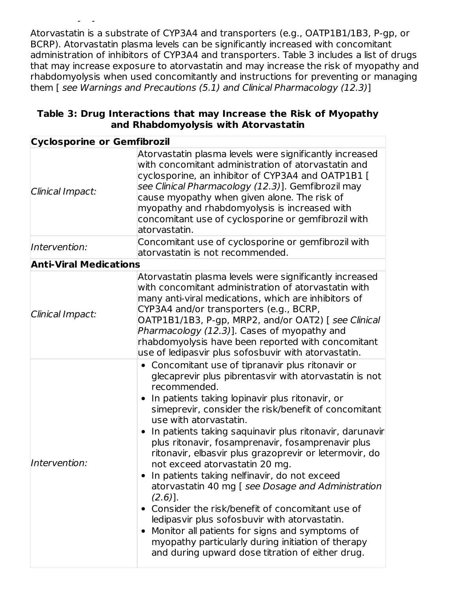Atorvastatin is a substrate of CYP3A4 and transporters (e.g., OATP1B1/1B3, P-gp, or BCRP). Atorvastatin plasma levels can be significantly increased with concomitant administration of inhibitors of CYP3A4 and transporters. Table 3 includes a list of drugs that may increase exposure to atorvastatin and may increase the risk of myopathy and rhabdomyolysis when used concomitantly and instructions for preventing or managing them [ see Warnings and Precautions (5.1) and Clinical Pharmacology (12.3)]

| Table 3: Drug Interactions that may Increase the Risk of Myopathy |                                      |  |  |
|-------------------------------------------------------------------|--------------------------------------|--|--|
|                                                                   | and Rhabdomyolysis with Atorvastatin |  |  |

**Rhabdomyolysis with Atorvastatin**

| <b>Cyclosporine or Gemfibrozil</b> |                                                                                                                                                                                                                                                                                                                                                                                                                                                                                                                                                                                                                                                                                                                                                                                                                                                                     |  |  |
|------------------------------------|---------------------------------------------------------------------------------------------------------------------------------------------------------------------------------------------------------------------------------------------------------------------------------------------------------------------------------------------------------------------------------------------------------------------------------------------------------------------------------------------------------------------------------------------------------------------------------------------------------------------------------------------------------------------------------------------------------------------------------------------------------------------------------------------------------------------------------------------------------------------|--|--|
| Clinical Impact:                   | Atorvastatin plasma levels were significantly increased<br>with concomitant administration of atorvastatin and<br>cyclosporine, an inhibitor of CYP3A4 and OATP1B1 [<br>see Clinical Pharmacology (12.3)]. Gemfibrozil may<br>cause myopathy when given alone. The risk of<br>myopathy and rhabdomyolysis is increased with<br>concomitant use of cyclosporine or gemfibrozil with<br>atorvastatin.                                                                                                                                                                                                                                                                                                                                                                                                                                                                 |  |  |
| Intervention:                      | Concomitant use of cyclosporine or gemfibrozil with<br>atorvastatin is not recommended.                                                                                                                                                                                                                                                                                                                                                                                                                                                                                                                                                                                                                                                                                                                                                                             |  |  |
| <b>Anti-Viral Medications</b>      |                                                                                                                                                                                                                                                                                                                                                                                                                                                                                                                                                                                                                                                                                                                                                                                                                                                                     |  |  |
| Clinical Impact:                   | Atorvastatin plasma levels were significantly increased<br>with concomitant administration of atorvastatin with<br>many anti-viral medications, which are inhibitors of<br>CYP3A4 and/or transporters (e.g., BCRP,<br>OATP1B1/1B3, P-gp, MRP2, and/or OAT2) [see Clinical<br>Pharmacology (12.3)]. Cases of myopathy and<br>rhabdomyolysis have been reported with concomitant<br>use of ledipasvir plus sofosbuvir with atorvastatin.                                                                                                                                                                                                                                                                                                                                                                                                                              |  |  |
| Intervention:                      | • Concomitant use of tipranavir plus ritonavir or<br>glecaprevir plus pibrentasvir with atorvastatin is not<br>recommended.<br>In patients taking lopinavir plus ritonavir, or<br>simeprevir, consider the risk/benefit of concomitant<br>use with atorvastatin.<br>In patients taking saquinavir plus ritonavir, darunavir<br>plus ritonavir, fosamprenavir, fosamprenavir plus<br>ritonavir, elbasvir plus grazoprevir or letermovir, do<br>not exceed atorvastatin 20 mg.<br>In patients taking nelfinavir, do not exceed<br>atorvastatin 40 mg [ see Dosage and Administration<br>$(2.6)$ ].<br>• Consider the risk/benefit of concomitant use of<br>ledipas vir plus sofosbuvir with atorvastatin.<br>Monitor all patients for signs and symptoms of<br>myopathy particularly during initiation of therapy<br>and during upward dose titration of either drug. |  |  |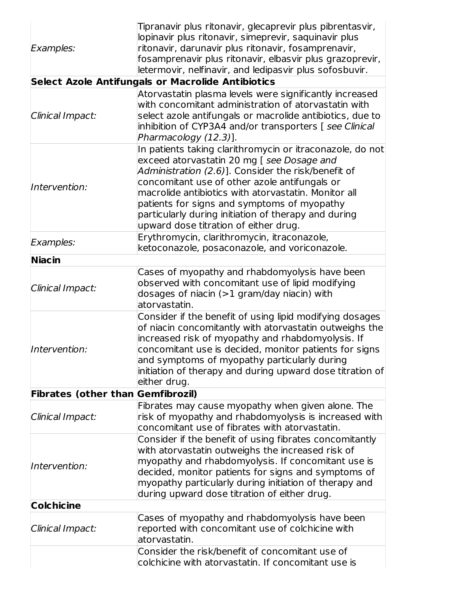| Examples:                                | Tipranavir plus ritonavir, glecaprevir plus pibrentasvir,<br>lopinavir plus ritonavir, simeprevir, saquinavir plus<br>ritonavir, darunavir plus ritonavir, fosamprenavir,<br>fosamprenavir plus ritonavir, elbasvir plus grazoprevir,<br>letermovir, nelfinavir, and ledipasvir plus sofosbuvir.                                                                                                                                                                       |
|------------------------------------------|------------------------------------------------------------------------------------------------------------------------------------------------------------------------------------------------------------------------------------------------------------------------------------------------------------------------------------------------------------------------------------------------------------------------------------------------------------------------|
|                                          | <b>Select Azole Antifungals or Macrolide Antibiotics</b>                                                                                                                                                                                                                                                                                                                                                                                                               |
| Clinical Impact:                         | Atorvastatin plasma levels were significantly increased<br>with concomitant administration of atorvastatin with<br>select azole antifungals or macrolide antibiotics, due to<br>inhibition of CYP3A4 and/or transporters [ see Clinical<br>Pharmacology (12.3)].                                                                                                                                                                                                       |
| Intervention:                            | In patients taking clarithromycin or itraconazole, do not<br>exceed atorvastatin 20 mg [ see Dosage and<br>Administration (2.6)]. Consider the risk/benefit of<br>concomitant use of other azole antifungals or<br>macrolide antibiotics with atorvastatin. Monitor all<br>patients for signs and symptoms of myopathy<br>particularly during initiation of therapy and during<br>upward dose titration of either drug.<br>Erythromycin, clarithromycin, itraconazole, |
| Examples:                                | ketoconazole, posaconazole, and voriconazole.                                                                                                                                                                                                                                                                                                                                                                                                                          |
| <b>Niacin</b>                            |                                                                                                                                                                                                                                                                                                                                                                                                                                                                        |
| Clinical Impact:                         | Cases of myopathy and rhabdomyolysis have been<br>observed with concomitant use of lipid modifying<br>dosages of niacin $(>1$ gram/day niacin) with<br>atorvastatin.                                                                                                                                                                                                                                                                                                   |
| Intervention:                            | Consider if the benefit of using lipid modifying dosages<br>of niacin concomitantly with atorvastatin outweighs the<br>increased risk of myopathy and rhabdomyolysis. If<br>concomitant use is decided, monitor patients for signs<br>and symptoms of myopathy particularly during<br>initiation of therapy and during upward dose titration of<br>either drug.                                                                                                        |
| <b>Fibrates (other than Gemfibrozil)</b> |                                                                                                                                                                                                                                                                                                                                                                                                                                                                        |
| Clinical Impact:                         | Fibrates may cause myopathy when given alone. The<br>risk of myopathy and rhabdomyolysis is increased with<br>concomitant use of fibrates with atorvastatin.                                                                                                                                                                                                                                                                                                           |
| Intervention:                            | Consider if the benefit of using fibrates concomitantly<br>with atorvastatin outweighs the increased risk of<br>myopathy and rhabdomyolysis. If concomitant use is<br>decided, monitor patients for signs and symptoms of<br>myopathy particularly during initiation of therapy and<br>during upward dose titration of either drug.                                                                                                                                    |
| <b>Colchicine</b>                        |                                                                                                                                                                                                                                                                                                                                                                                                                                                                        |
| Clinical Impact:                         | Cases of myopathy and rhabdomyolysis have been<br>reported with concomitant use of colchicine with<br>atorvastatin.                                                                                                                                                                                                                                                                                                                                                    |
|                                          | Consider the risk/benefit of concomitant use of<br>colchicine with atorvastatin. If concomitant use is                                                                                                                                                                                                                                                                                                                                                                 |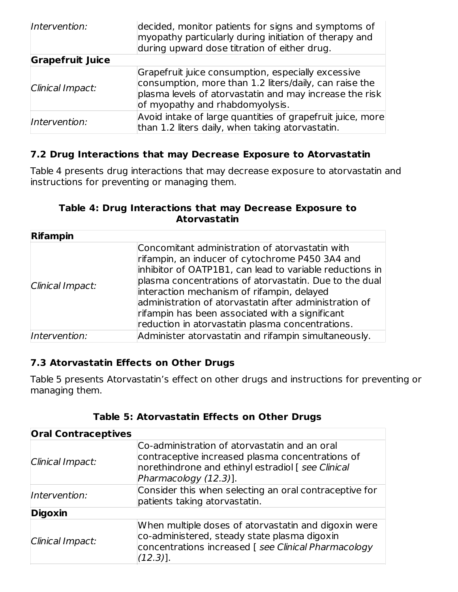| Intervention:           | decided, monitor patients for signs and symptoms of<br>myopathy particularly during initiation of therapy and<br>during upward dose titration of either drug.                                              |
|-------------------------|------------------------------------------------------------------------------------------------------------------------------------------------------------------------------------------------------------|
| <b>Grapefruit Juice</b> |                                                                                                                                                                                                            |
| Clinical Impact:        | Grapefruit juice consumption, especially excessive<br>consumption, more than 1.2 liters/daily, can raise the<br>plasma levels of atorvastatin and may increase the risk<br>of myopathy and rhabdomyolysis. |
| Intervention:           | Avoid intake of large quantities of grapefruit juice, more<br>than 1.2 liters daily, when taking atorvastatin.                                                                                             |

#### **7.2 Drug Interactions that may Decrease Exposure to Atorvastatin**

Table 4 presents drug interactions that may decrease exposure to atorvastatin and instructions for preventing or managing them.

#### **Table 4: Drug Interactions that may Decrease Exposure to Atorvastatin**

| <b>Rifampin</b>  |                                                                                                                                                                                                                                                                                                                                                                                                                                         |
|------------------|-----------------------------------------------------------------------------------------------------------------------------------------------------------------------------------------------------------------------------------------------------------------------------------------------------------------------------------------------------------------------------------------------------------------------------------------|
| Clinical Impact: | Concomitant administration of atorvastatin with<br>rifampin, an inducer of cytochrome P450 3A4 and<br>inhibitor of OATP1B1, can lead to variable reductions in<br>plasma concentrations of atorvastatin. Due to the dual<br>interaction mechanism of rifampin, delayed<br>administration of atorvastatin after administration of<br>rifampin has been associated with a significant<br>reduction in atorvastatin plasma concentrations. |
| Intervention:    | Administer atorvastatin and rifampin simultaneously.                                                                                                                                                                                                                                                                                                                                                                                    |

#### **7.3 Atorvastatin Effects on Other Drugs**

Table 5 presents Atorvastatin's effect on other drugs and instructions for preventing or managing them.

| <b>Oral Contraceptives</b> |                                                                                                                                                                                 |
|----------------------------|---------------------------------------------------------------------------------------------------------------------------------------------------------------------------------|
| Clinical Impact:           | Co-administration of atorvastatin and an oral<br>contraceptive increased plasma concentrations of<br>norethindrone and ethinyl estradiol [see Clinical<br>Pharmacology (12.3)]. |
| Intervention:              | Consider this when selecting an oral contraceptive for<br>patients taking atorvastatin.                                                                                         |
| <b>Digoxin</b>             |                                                                                                                                                                                 |
| Clinical Impact:           | When multiple doses of atorvastatin and digoxin were<br>co-administered, steady state plasma digoxin<br>concentrations increased [ see Clinical Pharmacology<br>$(12.3)$ ].     |

#### **Table 5: Atorvastatin Effects on Other Drugs**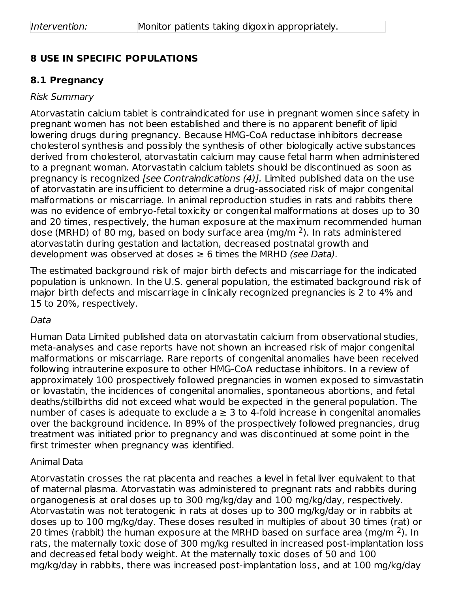## **8 USE IN SPECIFIC POPULATIONS**

#### **8.1 Pregnancy**

#### Risk Summary

Atorvastatin calcium tablet is contraindicated for use in pregnant women since safety in pregnant women has not been established and there is no apparent benefit of lipid lowering drugs during pregnancy. Because HMG-CoA reductase inhibitors decrease cholesterol synthesis and possibly the synthesis of other biologically active substances derived from cholesterol, atorvastatin calcium may cause fetal harm when administered to a pregnant woman. Atorvastatin calcium tablets should be discontinued as soon as pregnancy is recognized [see Contraindications (4)]. Limited published data on the use of atorvastatin are insufficient to determine a drug-associated risk of major congenital malformations or miscarriage. In animal reproduction studies in rats and rabbits there was no evidence of embryo-fetal toxicity or congenital malformations at doses up to 30 and 20 times, respectively, the human exposure at the maximum recommended human dose (MRHD) of 80 mg, based on body surface area (mg/m  $2$ ). In rats administered atorvastatin during gestation and lactation, decreased postnatal growth and development was observed at doses  $\geq 6$  times the MRHD (see Data).

The estimated background risk of major birth defects and miscarriage for the indicated population is unknown. In the U.S. general population, the estimated background risk of major birth defects and miscarriage in clinically recognized pregnancies is 2 to 4% and 15 to 20%, respectively.

#### Data

Human Data Limited published data on atorvastatin calcium from observational studies, meta-analyses and case reports have not shown an increased risk of major congenital malformations or miscarriage. Rare reports of congenital anomalies have been received following intrauterine exposure to other HMG-CoA reductase inhibitors. In a review of approximately 100 prospectively followed pregnancies in women exposed to simvastatin or lovastatin, the incidences of congenital anomalies, spontaneous abortions, and fetal deaths/stillbirths did not exceed what would be expected in the general population. The number of cases is adequate to exclude  $a \geq 3$  to 4-fold increase in congenital anomalies over the background incidence. In 89% of the prospectively followed pregnancies, drug treatment was initiated prior to pregnancy and was discontinued at some point in the first trimester when pregnancy was identified.

#### Animal Data

Atorvastatin crosses the rat placenta and reaches a level in fetal liver equivalent to that of maternal plasma. Atorvastatin was administered to pregnant rats and rabbits during organogenesis at oral doses up to 300 mg/kg/day and 100 mg/kg/day, respectively. Atorvastatin was not teratogenic in rats at doses up to 300 mg/kg/day or in rabbits at doses up to 100 mg/kg/day. These doses resulted in multiples of about 30 times (rat) or 20 times (rabbit) the human exposure at the MRHD based on surface area (mg/m  $^2$ ). In rats, the maternally toxic dose of 300 mg/kg resulted in increased post-implantation loss and decreased fetal body weight. At the maternally toxic doses of 50 and 100 mg/kg/day in rabbits, there was increased post-implantation loss, and at 100 mg/kg/day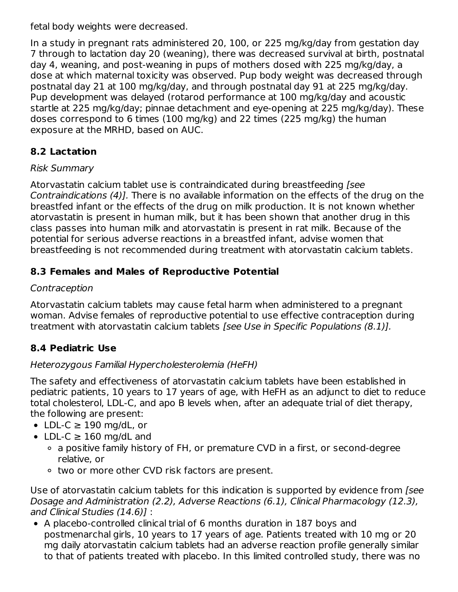fetal body weights were decreased.

In a study in pregnant rats administered 20, 100, or 225 mg/kg/day from gestation day 7 through to lactation day 20 (weaning), there was decreased survival at birth, postnatal day 4, weaning, and post-weaning in pups of mothers dosed with 225 mg/kg/day, a dose at which maternal toxicity was observed. Pup body weight was decreased through postnatal day 21 at 100 mg/kg/day, and through postnatal day 91 at 225 mg/kg/day. Pup development was delayed (rotarod performance at 100 mg/kg/day and acoustic startle at 225 mg/kg/day; pinnae detachment and eye-opening at 225 mg/kg/day). These doses correspond to 6 times (100 mg/kg) and 22 times (225 mg/kg) the human exposure at the MRHD, based on AUC.

## **8.2 Lactation**

#### Risk Summary

Atorvastatin calcium tablet use is contraindicated during breastfeeding [see Contraindications (4)]. There is no available information on the effects of the drug on the breastfed infant or the effects of the drug on milk production. It is not known whether atorvastatin is present in human milk, but it has been shown that another drug in this class passes into human milk and atorvastatin is present in rat milk. Because of the potential for serious adverse reactions in a breastfed infant, advise women that breastfeeding is not recommended during treatment with atorvastatin calcium tablets.

## **8.3 Females and Males of Reproductive Potential**

## Contraception

Atorvastatin calcium tablets may cause fetal harm when administered to a pregnant woman. Advise females of reproductive potential to use effective contraception during treatment with atorvastatin calcium tablets [see Use in Specific Populations (8.1)].

## **8.4 Pediatric Use**

#### Heterozygous Familial Hypercholesterolemia (HeFH)

The safety and effectiveness of atorvastatin calcium tablets have been established in pediatric patients, 10 years to 17 years of age, with HeFH as an adjunct to diet to reduce total cholesterol, LDL-C, and apo B levels when, after an adequate trial of diet therapy, the following are present:

- $\bullet$  LDL-C  $\geq$  190 mg/dL, or
- LDL-C  $\geq$  160 mg/dL and
	- a positive family history of FH, or premature CVD in a first, or second-degree relative, or
	- two or more other CVD risk factors are present.

Use of atorvastatin calcium tablets for this indication is supported by evidence from [see Dosage and Administration (2.2), Adverse Reactions (6.1), Clinical Pharmacology (12.3), and Clinical Studies (14.6)] :

• A placebo-controlled clinical trial of 6 months duration in 187 boys and postmenarchal girls, 10 years to 17 years of age. Patients treated with 10 mg or 20 mg daily atorvastatin calcium tablets had an adverse reaction profile generally similar to that of patients treated with placebo. In this limited controlled study, there was no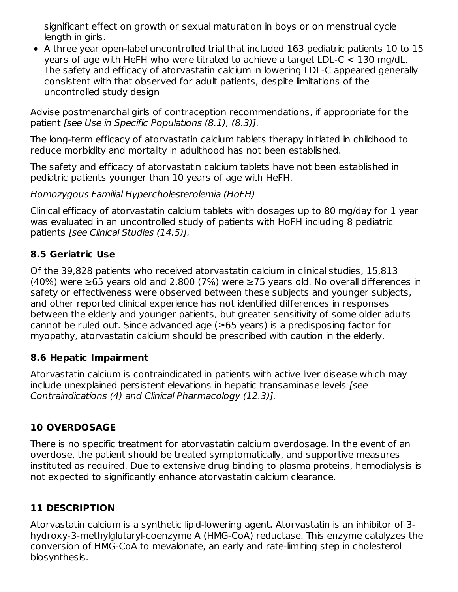significant effect on growth or sexual maturation in boys or on menstrual cycle length in girls.

A three year open-label uncontrolled trial that included 163 pediatric patients 10 to 15 years of age with HeFH who were titrated to achieve a target LDL-C < 130 mg/dL. The safety and efficacy of atorvastatin calcium in lowering LDL-C appeared generally consistent with that observed for adult patients, despite limitations of the uncontrolled study design

Advise postmenarchal girls of contraception recommendations, if appropriate for the patient [see Use in Specific Populations (8.1), (8.3)].

The long-term efficacy of atorvastatin calcium tablets therapy initiated in childhood to reduce morbidity and mortality in adulthood has not been established.

The safety and efficacy of atorvastatin calcium tablets have not been established in pediatric patients younger than 10 years of age with HeFH.

Homozygous Familial Hypercholesterolemia (HoFH)

Clinical efficacy of atorvastatin calcium tablets with dosages up to 80 mg/day for 1 year was evaluated in an uncontrolled study of patients with HoFH including 8 pediatric patients [see Clinical Studies (14.5)].

#### **8.5 Geriatric Use**

Of the 39,828 patients who received atorvastatin calcium in clinical studies, 15,813 (40%) were ≥65 years old and 2,800 (7%) were ≥75 years old. No overall differences in safety or effectiveness were observed between these subjects and younger subjects, and other reported clinical experience has not identified differences in responses between the elderly and younger patients, but greater sensitivity of some older adults cannot be ruled out. Since advanced age (≥65 years) is a predisposing factor for myopathy, atorvastatin calcium should be prescribed with caution in the elderly.

#### **8.6 Hepatic Impairment**

Atorvastatin calcium is contraindicated in patients with active liver disease which may include unexplained persistent elevations in hepatic transaminase levels [see Contraindications (4) and Clinical Pharmacology (12.3)].

#### **10 OVERDOSAGE**

There is no specific treatment for atorvastatin calcium overdosage. In the event of an overdose, the patient should be treated symptomatically, and supportive measures instituted as required. Due to extensive drug binding to plasma proteins, hemodialysis is not expected to significantly enhance atorvastatin calcium clearance.

## **11 DESCRIPTION**

Atorvastatin calcium is a synthetic lipid-lowering agent. Atorvastatin is an inhibitor of 3 hydroxy-3-methylglutaryl-coenzyme A (HMG-CoA) reductase. This enzyme catalyzes the conversion of HMG-CoA to mevalonate, an early and rate-limiting step in cholesterol biosynthesis.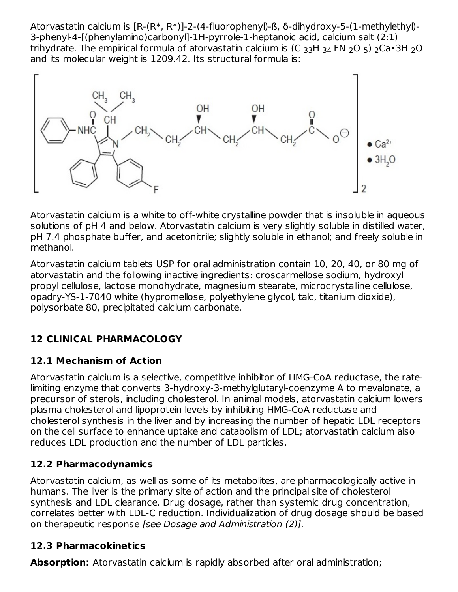Atorvastatin calcium is [R-(R\*, R\*)]-2-(4-fluorophenyl)-ß, δ-dihydroxy-5-(1-methylethyl)- 3-phenyl-4-[(phenylamino)carbonyl]-1H-pyrrole-1-heptanoic acid, calcium salt (2:1) trihydrate. The empirical formula of atorvastatin calcium is (C  $_{\rm 33}$ H  $_{\rm 34}$  FN  $_{\rm 2}$ O  $_{\rm 5)}$   $_{\rm 2}$ Ca•3H  $_{\rm 2}$ O and its molecular weight is 1209.42. Its structural formula is:



Atorvastatin calcium is a white to off-white crystalline powder that is insoluble in aqueous solutions of pH 4 and below. Atorvastatin calcium is very slightly soluble in distilled water, pH 7.4 phosphate buffer, and acetonitrile; slightly soluble in ethanol; and freely soluble in methanol.

Atorvastatin calcium tablets USP for oral administration contain 10, 20, 40, or 80 mg of atorvastatin and the following inactive ingredients: croscarmellose sodium, hydroxyl propyl cellulose, lactose monohydrate, magnesium stearate, microcrystalline cellulose, opadry-YS-1-7040 white (hypromellose, polyethylene glycol, talc, titanium dioxide), polysorbate 80, precipitated calcium carbonate.

# **12 CLINICAL PHARMACOLOGY**

## **12.1 Mechanism of Action**

Atorvastatin calcium is a selective, competitive inhibitor of HMG-CoA reductase, the ratelimiting enzyme that converts 3-hydroxy-3-methylglutaryl-coenzyme A to mevalonate, a precursor of sterols, including cholesterol. In animal models, atorvastatin calcium lowers plasma cholesterol and lipoprotein levels by inhibiting HMG-CoA reductase and cholesterol synthesis in the liver and by increasing the number of hepatic LDL receptors on the cell surface to enhance uptake and catabolism of LDL; atorvastatin calcium also reduces LDL production and the number of LDL particles.

## **12.2 Pharmacodynamics**

Atorvastatin calcium, as well as some of its metabolites, are pharmacologically active in humans. The liver is the primary site of action and the principal site of cholesterol synthesis and LDL clearance. Drug dosage, rather than systemic drug concentration, correlates better with LDL-C reduction. Individualization of drug dosage should be based on therapeutic response [see Dosage and Administration (2)].

## **12.3 Pharmacokinetics**

**Absorption:** Atorvastatin calcium is rapidly absorbed after oral administration;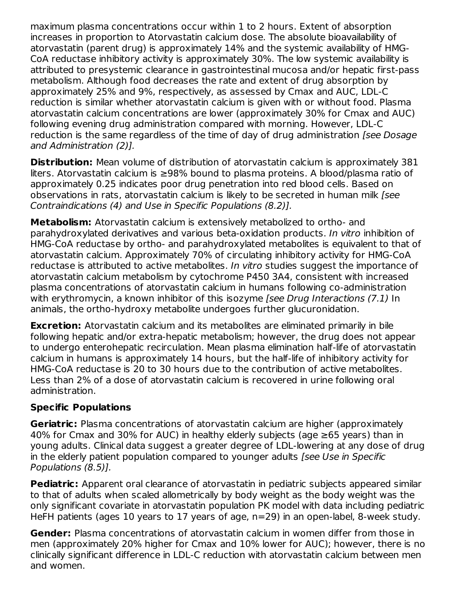maximum plasma concentrations occur within 1 to 2 hours. Extent of absorption increases in proportion to Atorvastatin calcium dose. The absolute bioavailability of atorvastatin (parent drug) is approximately 14% and the systemic availability of HMG-CoA reductase inhibitory activity is approximately 30%. The low systemic availability is attributed to presystemic clearance in gastrointestinal mucosa and/or hepatic first-pass metabolism. Although food decreases the rate and extent of drug absorption by approximately 25% and 9%, respectively, as assessed by Cmax and AUC, LDL-C reduction is similar whether atorvastatin calcium is given with or without food. Plasma atorvastatin calcium concentrations are lower (approximately 30% for Cmax and AUC) following evening drug administration compared with morning. However, LDL-C reduction is the same regardless of the time of day of drug administration [see Dosage and Administration (2)].

**Distribution:** Mean volume of distribution of atorvastatin calcium is approximately 381 liters. Atorvastatin calcium is ≥98% bound to plasma proteins. A blood/plasma ratio of approximately 0.25 indicates poor drug penetration into red blood cells. Based on observations in rats, atorvastatin calcium is likely to be secreted in human milk [see Contraindications (4) and Use in Specific Populations (8.2)].

**Metabolism:** Atorvastatin calcium is extensively metabolized to ortho- and parahydroxylated derivatives and various beta-oxidation products. In vitro inhibition of HMG-CoA reductase by ortho- and parahydroxylated metabolites is equivalent to that of atorvastatin calcium. Approximately 70% of circulating inhibitory activity for HMG-CoA reductase is attributed to active metabolites. In vitro studies suggest the importance of atorvastatin calcium metabolism by cytochrome P450 3A4, consistent with increased plasma concentrations of atorvastatin calcium in humans following co-administration with erythromycin, a known inhibitor of this isozyme *[see Drug Interactions (7.1)* In animals, the ortho-hydroxy metabolite undergoes further glucuronidation.

**Excretion:** Atorvastatin calcium and its metabolites are eliminated primarily in bile following hepatic and/or extra-hepatic metabolism; however, the drug does not appear to undergo enterohepatic recirculation. Mean plasma elimination half-life of atorvastatin calcium in humans is approximately 14 hours, but the half-life of inhibitory activity for HMG-CoA reductase is 20 to 30 hours due to the contribution of active metabolites. Less than 2% of a dose of atorvastatin calcium is recovered in urine following oral administration.

#### **Specific Populations**

**Geriatric:** Plasma concentrations of atorvastatin calcium are higher (approximately 40% for Cmax and 30% for AUC) in healthy elderly subjects (age ≥65 years) than in young adults. Clinical data suggest a greater degree of LDL-lowering at any dose of drug in the elderly patient population compared to younger adults *[see Use in Specific* Populations (8.5)].

**Pediatric:** Apparent oral clearance of atorvastatin in pediatric subjects appeared similar to that of adults when scaled allometrically by body weight as the body weight was the only significant covariate in atorvastatin population PK model with data including pediatric HeFH patients (ages 10 years to 17 years of age, n=29) in an open-label, 8-week study.

**Gender:** Plasma concentrations of atorvastatin calcium in women differ from those in men (approximately 20% higher for Cmax and 10% lower for AUC); however, there is no clinically significant difference in LDL-C reduction with atorvastatin calcium between men and women.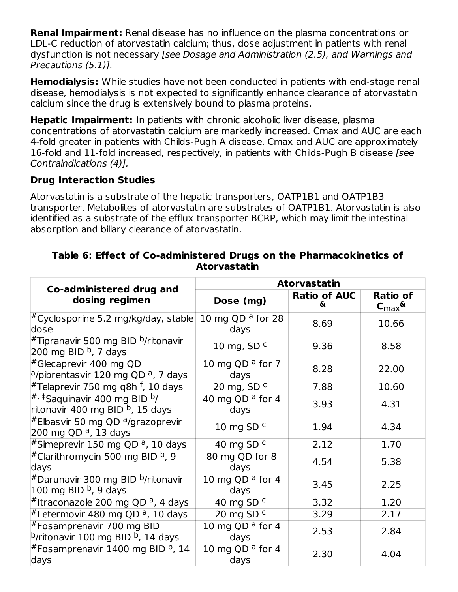**Renal Impairment:** Renal disease has no influence on the plasma concentrations or LDL-C reduction of atorvastatin calcium; thus, dose adjustment in patients with renal dysfunction is not necessary [see Dosage and Administration (2.5), and Warnings and Precautions (5.1)].

**Hemodialysis:** While studies have not been conducted in patients with end-stage renal disease, hemodialysis is not expected to significantly enhance clearance of atorvastatin calcium since the drug is extensively bound to plasma proteins.

**Hepatic Impairment:** In patients with chronic alcoholic liver disease, plasma concentrations of atorvastatin calcium are markedly increased. Cmax and AUC are each 4-fold greater in patients with Childs-Pugh A disease. Cmax and AUC are approximately 16-fold and 11-fold increased, respectively, in patients with Childs-Pugh B disease [see Contraindications (4)].

#### **Drug Interaction Studies**

Atorvastatin is a substrate of the hepatic transporters, OATP1B1 and OATP1B3 transporter. Metabolites of atorvastatin are substrates of OATP1B1. Atorvastatin is also identified as a substrate of the efflux transporter BCRP, which may limit the intestinal absorption and biliary clearance of atorvastatin.

| Co-administered drug and                                                                    | <b>Atorvastatin</b>                 |                           |                              |  |
|---------------------------------------------------------------------------------------------|-------------------------------------|---------------------------|------------------------------|--|
| dosing regimen                                                                              | Dose (mg)                           | <b>Ratio of AUC</b><br>&. | Ratio of<br>$C_{\text{max}}$ |  |
| $\rm{^\#Cyc}$ losporine 5.2 mg/kg/day, stable<br>dose                                       | 10 mg QD $a$ for 28<br>days         | 8.69                      | 10.66                        |  |
| #Tipranavir 500 mg BID <sup>b</sup> /ritonavir<br>200 mg BID <sup>b</sup> , 7 days          | 10 mg, SD $c$                       | 9.36                      | 8.58                         |  |
| #Glecaprevir 400 mg QD<br><sup>a</sup> /pibrentasvir 120 mg QD <sup>a</sup> , 7 days        | 10 mg QD $a$ for 7<br>days          | 8.28                      | 22.00                        |  |
| #Telaprevir 750 mg q8h <sup>f</sup> , 10 days                                               | 20 mg, SD c                         | 7.88                      | 10.60                        |  |
| $\sharp$ , $\sharp$ Saquinavir 400 mg BID b/<br>ritonavir 400 mg BID <sup>b</sup> , 15 days | 40 mg QD $a$ for 4<br>days          | 3.93                      | 4.31                         |  |
| #Elbasvir 50 mg QD <sup>a</sup> /grazoprevir<br>200 mg QD <sup>a</sup> , 13 days            | 10 mg SD $c$                        | 1.94                      | 4.34                         |  |
| #Simeprevir 150 mg QD <sup>a</sup> , 10 days                                                | 40 mg SD $c$                        | 2.12                      | 1.70                         |  |
| #Clarithromycin 500 mg BID <sup>b</sup> , 9<br>days                                         | 80 mg QD for 8<br>days              | 4.54                      | 5.38                         |  |
| #Darunavir 300 mg BID <sup>b</sup> /ritonavir<br>100 mg BID <sup>b</sup> , 9 days           | 10 mg QD <sup>a</sup> for 4<br>days | 3.45                      | 2.25                         |  |
| #Itraconazole 200 mg QD <sup>a</sup> , 4 days                                               | 40 mg SD c                          | 3.32                      | 1.20                         |  |
| <sup>#</sup> Letermovir 480 mg QD <sup>a</sup> , 10 days                                    | 20 mg SD $c$                        | 3.29                      | 2.17                         |  |
| #Fosamprenavir 700 mg BID<br><sup>b</sup> /ritonavir 100 mg BID <sup>b</sup> , 14 days      | 10 mg QD $a$ for 4<br>days          | 2.53                      | 2.84                         |  |
| #Fosamprenavir 1400 mg BID <sup>b</sup> , 14<br>days                                        | 10 mg QD $a$ for 4<br>days          | 2.30                      | 4.04                         |  |

#### **Table 6: Effect of Co-administered Drugs on the Pharmacokinetics of Atorvastatin**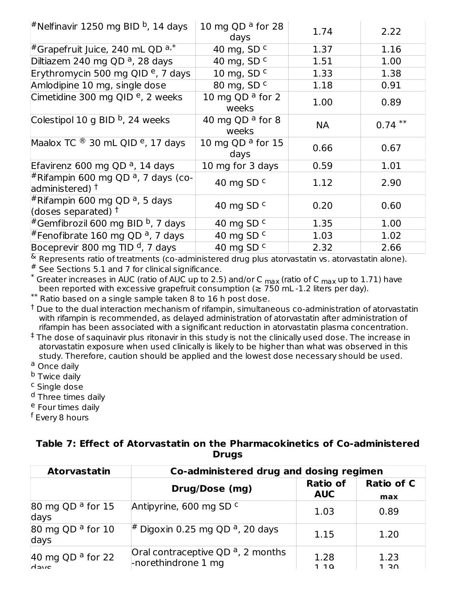| <sup>#</sup> Nelfinavir 1250 mg BID <sup>b</sup> , 14 days                  | 10 mg QD $a$ for 28<br>days          | 1.74      | 2.22      |
|-----------------------------------------------------------------------------|--------------------------------------|-----------|-----------|
| <sup>#</sup> Grapefruit Juice, 240 mL QD $a^*$                              | 40 mg, SD c                          | 1.37      | 1.16      |
| Diltiazem 240 mg QD <sup>a</sup> , 28 days                                  | 40 mg, SD $c$                        | 1.51      | 1.00      |
| Erythromycin 500 mg QID <sup>e</sup> , 7 days                               | 10 mg, SD $c$                        | 1.33      | 1.38      |
| Amlodipine 10 mg, single dose                                               | 80 mg, SD c                          | 1.18      | 0.91      |
| Cimetidine 300 mg QID <sup>e</sup> , 2 weeks                                | 10 mg QD <sup>a</sup> for 2<br>weeks | 1.00      | 0.89      |
| Colestipol 10 g BID $^{\rm b}$ , 24 weeks                                   | 40 mg QD <sup>a</sup> for 8<br>weeks | <b>NA</b> | $0.74***$ |
| Maalox TC $\textcircled{8}$ 30 mL QID $\textcircled{e}$ , 17 days           | 10 mg QD $a$ for 15<br>days          | 0.66      | 0.67      |
| Efavirenz 600 mg QD <sup>a</sup> , 14 days                                  | 10 mg for 3 days                     | 0.59      | 1.01      |
| #Rifampin 600 mg QD <sup>a</sup> , 7 days (co-<br>administered) $†$         | 40 mg SD $c$                         | 1.12      | 2.90      |
| #Rifampin 600 mg QD <sup>a</sup> , 5 days<br>(doses separated) $^{\dagger}$ | 40 mg SD $c$                         | 0.20      | 0.60      |
| #Gemfibrozil 600 mg BID <sup>b</sup> , 7 days                               | 40 mg SD c                           | 1.35      | 1.00      |
| #Fenofibrate 160 mg QD <sup>a</sup> , 7 days                                | 40 mg SD $c$                         | 1.03      | 1.02      |
| Boceprevir 800 mg TID <sup>d</sup> , 7 days                                 | 40 mg SD c                           | 2.32      | 2.66      |

 $^{\&}$  Represents ratio of treatments (co-administered drug plus atorvastatin vs. atorvastatin alone).

 $*$  See Sections 5.1 and 7 for clinical significance.

Greater increases in AUC (ratio of AUC up to 2.5) and/or C  $_{\text{max}}$  (ratio of C  $_{\text{max}}$  up to 1.71) have been reported with excessive grapefruit consumption ( $\geq 750$  mL -1.2 liters per day).  $^*$  Greater increases in AUC (ratio of AUC up to 2.5) and/or C  $_{\sf max}$  (ratio of C  $_{\sf max}$ 

Ratio based on a single sample taken 8 to 16 h post dose. \*\*

 $^\dagger$  Due to the dual interaction mechanism of rifampin, simultaneous co-administration of atorvastatin with rifampin is recommended, as delayed administration of atorvastatin after administration of rifampin has been associated with a significant reduction in atorvastatin plasma concentration.

 $^\ddag$  The dose of saquinavir plus ritonavir in this study is not the clinically used dose. The increase in atorvastatin exposure when used clinically is likely to be higher than what was observed in this study. Therefore, caution should be applied and the lowest dose necessary should be used.

- <sup>a</sup> Once daily
- <sup>b</sup> Twice daily
- <sup>c</sup> Single dose
- <sup>d</sup> Three times daily

<sup>e</sup> Four times daily

<sup>f</sup> Every 8 hours

| Table 7: Effect of Atorvastatin on the Pharmacokinetics of Co-administered |
|----------------------------------------------------------------------------|
| <b>Drugs</b>                                                               |

| <b>Atorvastatin</b>                    | Co-administered drug and dosing regimen                     |                               |                          |  |  |  |
|----------------------------------------|-------------------------------------------------------------|-------------------------------|--------------------------|--|--|--|
|                                        | Drug/Dose (mg)                                              | <b>Ratio of</b><br><b>AUC</b> | <b>Ratio of C</b><br>max |  |  |  |
| 80 mg QD <sup>a</sup> for 15<br>days   | Antipyrine, 600 mg SD c                                     | 1.03                          | 0.89                     |  |  |  |
| 80 mg QD <sup>a</sup> for $10$<br>days | <sup>#</sup> Digoxin 0.25 mg QD <sup>a</sup> , 20 days      | 1.15                          | 1.20                     |  |  |  |
| 40 mg QD <sup>a</sup> for 22<br>dave   | Oral contraceptive QD $a$ , 2 months<br>-norethindrone 1 mg | 1.28<br>110                   | 1.23<br>1 RN             |  |  |  |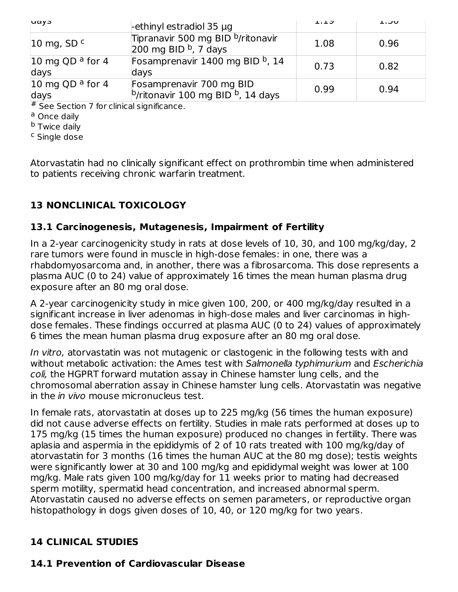| <b>uay</b>                          | -ethinyl estradiol 35 $\mu$ q                                                         | $\perp$ . $\perp$ $\cup$ | ∪כ.⊥ |
|-------------------------------------|---------------------------------------------------------------------------------------|--------------------------|------|
| 10 mg, SD $c$                       | Tipranavir 500 mg BID <sup>b</sup> /ritonavir<br>$200$ mg BID $b$ , 7 days            | 1.08                     | 0.96 |
| 10 mg QD $a$ for 4<br>days          | Fosamprenavir 1400 mg BID b, 14<br>days                                               | 0.73                     | 0.82 |
| 10 mg QD <sup>a</sup> for 4<br>days | Fosamprenavir 700 mg BID<br>$\frac{b}{r}$ titonavir 100 mg BID <sup>b</sup> , 14 days | 0.99                     | 0.94 |

# See Section 7 for clinical significance.

<sup>a</sup> Once daily

<sup>b</sup> Twice daily

<sup>c</sup> Single dose

Atorvastatin had no clinically significant effect on prothrombin time when administered to patients receiving chronic warfarin treatment.

## **13 NONCLINICAL TOXICOLOGY**

#### **13.1 Carcinogenesis, Mutagenesis, Impairment of Fertility**

In a 2-year carcinogenicity study in rats at dose levels of 10, 30, and 100 mg/kg/day, 2 rare tumors were found in muscle in high-dose females: in one, there was a rhabdomyosarcoma and, in another, there was a fibrosarcoma. This dose represents a plasma AUC (0 to 24) value of approximately 16 times the mean human plasma drug exposure after an 80 mg oral dose.

A 2-year carcinogenicity study in mice given 100, 200, or 400 mg/kg/day resulted in a significant increase in liver adenomas in high-dose males and liver carcinomas in highdose females. These findings occurred at plasma AUC (0 to 24) values of approximately 6 times the mean human plasma drug exposure after an 80 mg oral dose.

In vitro, atorvastatin was not mutagenic or clastogenic in the following tests with and without metabolic activation: the Ames test with Salmonella typhimurium and Escherichia coli, the HGPRT forward mutation assay in Chinese hamster lung cells, and the chromosomal aberration assay in Chinese hamster lung cells. Atorvastatin was negative in the in vivo mouse micronucleus test.

In female rats, atorvastatin at doses up to 225 mg/kg (56 times the human exposure) did not cause adverse effects on fertility. Studies in male rats performed at doses up to 175 mg/kg (15 times the human exposure) produced no changes in fertility. There was aplasia and aspermia in the epididymis of 2 of 10 rats treated with 100 mg/kg/day of atorvastatin for 3 months (16 times the human AUC at the 80 mg dose); testis weights were significantly lower at 30 and 100 mg/kg and epididymal weight was lower at 100 mg/kg. Male rats given 100 mg/kg/day for 11 weeks prior to mating had decreased sperm motility, spermatid head concentration, and increased abnormal sperm. Atorvastatin caused no adverse effects on semen parameters, or reproductive organ histopathology in dogs given doses of 10, 40, or 120 mg/kg for two years.

#### **14 CLINICAL STUDIES**

## **14.1 Prevention of Cardiovascular Disease**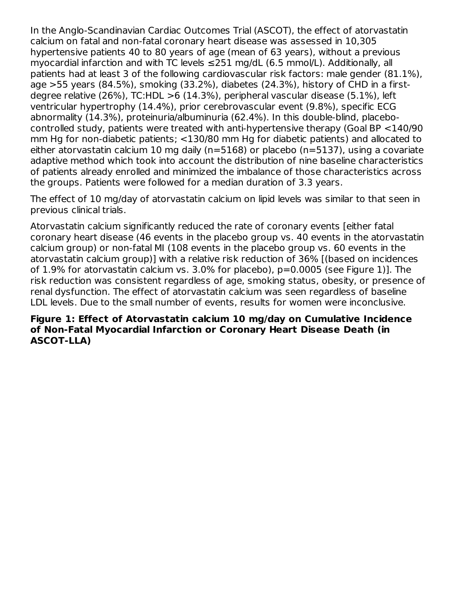In the Anglo-Scandinavian Cardiac Outcomes Trial (ASCOT), the effect of atorvastatin calcium on fatal and non-fatal coronary heart disease was assessed in 10,305 hypertensive patients 40 to 80 years of age (mean of 63 years), without a previous myocardial infarction and with TC levels ≤251 mg/dL (6.5 mmol/L). Additionally, all patients had at least 3 of the following cardiovascular risk factors: male gender (81.1%), age >55 years (84.5%), smoking (33.2%), diabetes (24.3%), history of CHD in a firstdegree relative (26%), TC:HDL >6 (14.3%), peripheral vascular disease (5.1%), left ventricular hypertrophy (14.4%), prior cerebrovascular event (9.8%), specific ECG abnormality (14.3%), proteinuria/albuminuria (62.4%). In this double-blind, placebocontrolled study, patients were treated with anti-hypertensive therapy (Goal BP <140/90 mm Hg for non-diabetic patients; <130/80 mm Hg for diabetic patients) and allocated to either atorvastatin calcium 10 mg daily (n=5168) or placebo (n=5137), using a covariate adaptive method which took into account the distribution of nine baseline characteristics of patients already enrolled and minimized the imbalance of those characteristics across the groups. Patients were followed for a median duration of 3.3 years.

The effect of 10 mg/day of atorvastatin calcium on lipid levels was similar to that seen in previous clinical trials.

Atorvastatin calcium significantly reduced the rate of coronary events [either fatal coronary heart disease (46 events in the placebo group vs. 40 events in the atorvastatin calcium group) or non-fatal MI (108 events in the placebo group vs. 60 events in the atorvastatin calcium group)] with a relative risk reduction of 36% [(based on incidences of 1.9% for atorvastatin calcium vs. 3.0% for placebo), p=0.0005 (see Figure 1)]. The risk reduction was consistent regardless of age, smoking status, obesity, or presence of renal dysfunction. The effect of atorvastatin calcium was seen regardless of baseline LDL levels. Due to the small number of events, results for women were inconclusive.

#### **Figure 1: Effect of Atorvastatin calcium 10 mg/day on Cumulative Incidence of Non-Fatal Myocardial Infarction or Coronary Heart Disease Death (in ASCOT-LLA)**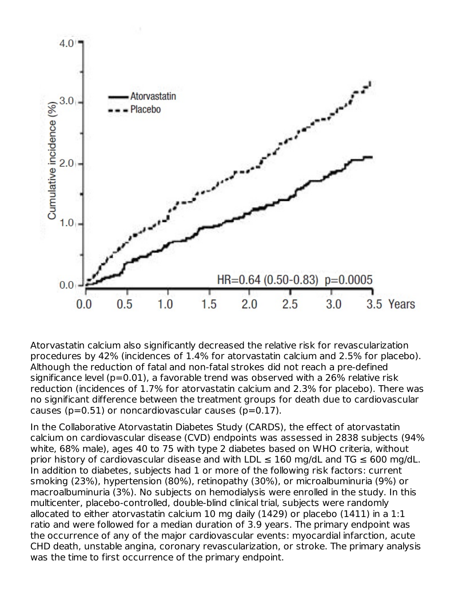

Atorvastatin calcium also significantly decreased the relative risk for revascularization procedures by 42% (incidences of 1.4% for atorvastatin calcium and 2.5% for placebo). Although the reduction of fatal and non-fatal strokes did not reach a pre-defined significance level (p=0.01), a favorable trend was observed with a 26% relative risk reduction (incidences of 1.7% for atorvastatin calcium and 2.3% for placebo). There was no significant difference between the treatment groups for death due to cardiovascular causes ( $p=0.51$ ) or noncardiovascular causes ( $p=0.17$ ).

In the Collaborative Atorvastatin Diabetes Study (CARDS), the effect of atorvastatin calcium on cardiovascular disease (CVD) endpoints was assessed in 2838 subjects (94% white, 68% male), ages 40 to 75 with type 2 diabetes based on WHO criteria, without prior history of cardiovascular disease and with LDL  $\leq$  160 mg/dL and TG  $\leq$  600 mg/dL. In addition to diabetes, subjects had 1 or more of the following risk factors: current smoking (23%), hypertension (80%), retinopathy (30%), or microalbuminuria (9%) or macroalbuminuria (3%). No subjects on hemodialysis were enrolled in the study. In this multicenter, placebo-controlled, double-blind clinical trial, subjects were randomly allocated to either atorvastatin calcium 10 mg daily (1429) or placebo (1411) in a 1:1 ratio and were followed for a median duration of 3.9 years. The primary endpoint was the occurrence of any of the major cardiovascular events: myocardial infarction, acute CHD death, unstable angina, coronary revascularization, or stroke. The primary analysis was the time to first occurrence of the primary endpoint.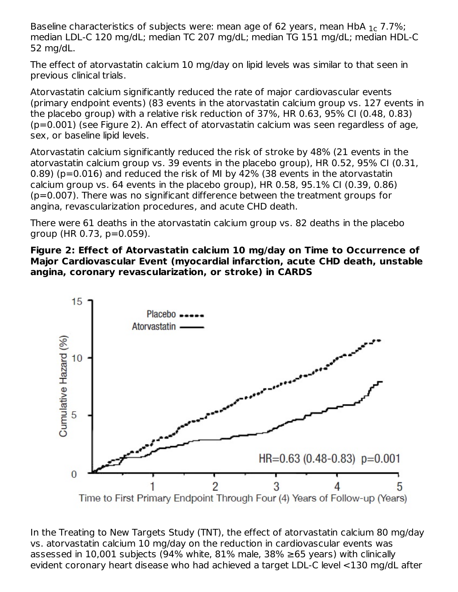Baseline characteristics of subjects were: mean age of 62 years, mean HbA  $_{1c}$  7.7%; median LDL-C 120 mg/dL; median TC 207 mg/dL; median TG 151 mg/dL; median HDL-C 52 mg/dL.

The effect of atorvastatin calcium 10 mg/day on lipid levels was similar to that seen in previous clinical trials.

Atorvastatin calcium significantly reduced the rate of major cardiovascular events (primary endpoint events) (83 events in the atorvastatin calcium group vs. 127 events in the placebo group) with a relative risk reduction of 37%, HR 0.63, 95% CI (0.48, 0.83) (p=0.001) (see Figure 2). An effect of atorvastatin calcium was seen regardless of age, sex, or baseline lipid levels.

Atorvastatin calcium significantly reduced the risk of stroke by 48% (21 events in the atorvastatin calcium group vs. 39 events in the placebo group), HR 0.52, 95% CI (0.31, 0.89) (p=0.016) and reduced the risk of MI by 42% (38 events in the atorvastatin calcium group vs. 64 events in the placebo group), HR 0.58, 95.1% CI (0.39, 0.86) (p=0.007). There was no significant difference between the treatment groups for angina, revascularization procedures, and acute CHD death.

There were 61 deaths in the atorvastatin calcium group vs. 82 deaths in the placebo group (HR 0.73, p=0.059).

#### **Figure 2: Effect of Atorvastatin calcium 10 mg/day on Time to Occurrence of Major Cardiovascular Event (myocardial infarction, acute CHD death, unstable angina, coronary revascularization, or stroke) in CARDS**



In the Treating to New Targets Study (TNT), the effect of atorvastatin calcium 80 mg/day vs. atorvastatin calcium 10 mg/day on the reduction in cardiovascular events was assessed in 10,001 subjects (94% white, 81% male, 38% ≥65 years) with clinically evident coronary heart disease who had achieved a target LDL-C level <130 mg/dL after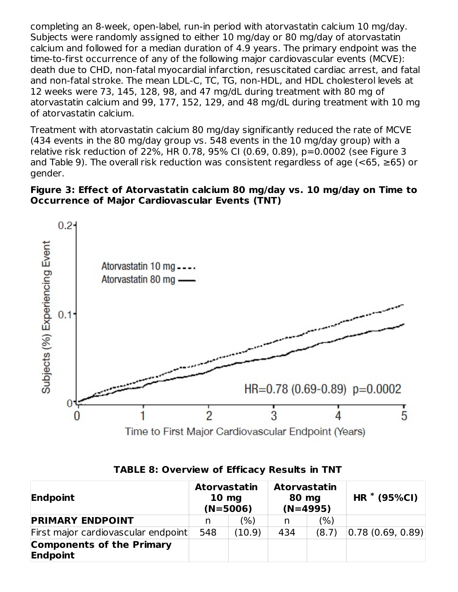completing an 8-week, open-label, run-in period with atorvastatin calcium 10 mg/day. Subjects were randomly assigned to either 10 mg/day or 80 mg/day of atorvastatin calcium and followed for a median duration of 4.9 years. The primary endpoint was the time-to-first occurrence of any of the following major cardiovascular events (MCVE): death due to CHD, non-fatal myocardial infarction, resuscitated cardiac arrest, and fatal and non-fatal stroke. The mean LDL-C, TC, TG, non-HDL, and HDL cholesterol levels at 12 weeks were 73, 145, 128, 98, and 47 mg/dL during treatment with 80 mg of atorvastatin calcium and 99, 177, 152, 129, and 48 mg/dL during treatment with 10 mg of atorvastatin calcium.

Treatment with atorvastatin calcium 80 mg/day significantly reduced the rate of MCVE (434 events in the 80 mg/day group vs. 548 events in the 10 mg/day group) with a relative risk reduction of 22%, HR 0.78, 95% CI (0.69, 0.89), p=0.0002 (see Figure 3 and Table 9). The overall risk reduction was consistent regardless of age ( $\leq 65$ ,  $\geq 65$ ) or gender.

#### **Figure 3: Effect of Atorvastatin calcium 80 mg/day vs. 10 mg/day on Time to Occurrence of Major Cardiovascular Events (TNT)**



| <b>TABLE 8: Overview of Efficacy Results in TNT</b> |  |  |  |
|-----------------------------------------------------|--|--|--|
|-----------------------------------------------------|--|--|--|

| Endpoint                                     |     | <b>Atorvastatin</b><br><b>Atorvastatin</b><br>$10 \text{ mg}$<br>80 mg<br>$(N=4995)$<br>$(N=5006)$ |     | $HR * (95\%CI)$ |                  |
|----------------------------------------------|-----|----------------------------------------------------------------------------------------------------|-----|-----------------|------------------|
| <b>PRIMARY ENDPOINT</b>                      | n   | (%)                                                                                                | n   | (%)             |                  |
| First major cardiovascular endpoint          | 548 | (10.9)                                                                                             | 434 | (8.7)           | 0.78(0.69, 0.89) |
| <b>Components of the Primary</b><br>Endpoint |     |                                                                                                    |     |                 |                  |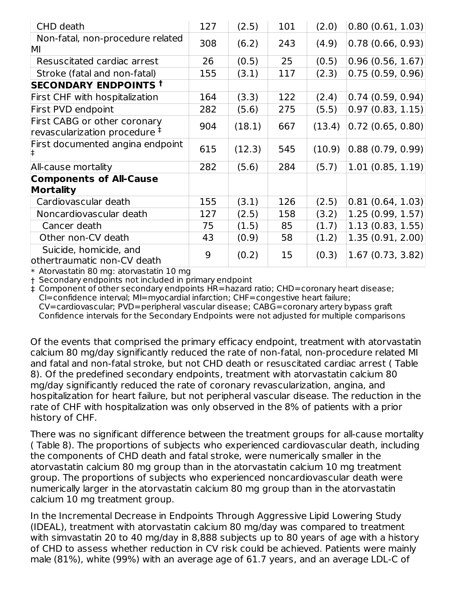| CHD death                                                                 | 127 | (2.5)  | 101 | (2.0)  | 0.80(0.61, 1.03)  |
|---------------------------------------------------------------------------|-----|--------|-----|--------|-------------------|
| Non-fatal, non-procedure related<br>MI                                    | 308 | (6.2)  | 243 | (4.9)  | 0.78(0.66, 0.93)  |
| Resuscitated cardiac arrest                                               | 26  | (0.5)  | 25  | (0.5)  | 0.96(0.56, 1.67)  |
| Stroke (fatal and non-fatal)                                              | 155 | (3.1)  | 117 | (2.3)  | 0.75(0.59, 0.96)  |
| <b>SECONDARY ENDPOINTS T</b>                                              |     |        |     |        |                   |
| First CHF with hospitalization                                            | 164 | (3.3)  | 122 | (2.4)  | 0.74(0.59, 0.94)  |
| First PVD endpoint                                                        | 282 | (5.6)  | 275 | (5.5)  | 0.97(0.83, 1.15)  |
| First CABG or other coronary<br>revascularization procedure $^{\ddagger}$ | 904 | (18.1) | 667 | (13.4) | 0.72(0.65, 0.80)  |
| First documented angina endpoint<br>l‡.                                   | 615 | (12.3) | 545 | (10.9) | 0.88(0.79, 0.99)  |
| All-cause mortality                                                       | 282 | (5.6)  | 284 | (5.7)  | 1.01(0.85, 1.19)  |
| <b>Components of All-Cause</b><br>Mortality                               |     |        |     |        |                   |
| Cardiovascular death                                                      | 155 | (3.1)  | 126 | (2.5)  | 0.81(0.64, 1.03)  |
| Noncardiovascular death                                                   | 127 | (2.5)  | 158 | (3.2)  | 1.25(0.99, 1.57)  |
| Cancer death                                                              | 75  | (1.5)  | 85  | (1.7)  | 1.13(0.83, 1.55)  |
| Other non-CV death                                                        | 43  | (0.9)  | 58  | (1.2)  | 1.35 (0.91, 2.00) |
| Suicide, homicide, and<br>othertraumatic non-CV death                     | 9   | (0.2)  | 15  | (0.3)  | 1.67(0.73, 3.82)  |

\* Atorvastatin 80 mg: atorvastatin 10 mg

† Secondary endpoints not included in primary endpoint

‡ Component of other secondary endpoints HR=hazard ratio; CHD=coronary heart disease; CI=confidence interval; MI=myocardial infarction; CHF=congestive heart failure; CV=cardiovascular; PVD=peripheral vascular disease; CABG=coronary artery bypass graft Confidence intervals for the Secondary Endpoints were not adjusted for multiple comparisons

Of the events that comprised the primary efficacy endpoint, treatment with atorvastatin calcium 80 mg/day significantly reduced the rate of non-fatal, non-procedure related MI and fatal and non-fatal stroke, but not CHD death or resuscitated cardiac arrest ( Table 8). Of the predefined secondary endpoints, treatment with atorvastatin calcium 80 mg/day significantly reduced the rate of coronary revascularization, angina, and hospitalization for heart failure, but not peripheral vascular disease. The reduction in the rate of CHF with hospitalization was only observed in the 8% of patients with a prior history of CHF.

There was no significant difference between the treatment groups for all-cause mortality ( Table 8). The proportions of subjects who experienced cardiovascular death, including the components of CHD death and fatal stroke, were numerically smaller in the atorvastatin calcium 80 mg group than in the atorvastatin calcium 10 mg treatment group. The proportions of subjects who experienced noncardiovascular death were numerically larger in the atorvastatin calcium 80 mg group than in the atorvastatin calcium 10 mg treatment group.

In the Incremental Decrease in Endpoints Through Aggressive Lipid Lowering Study (IDEAL), treatment with atorvastatin calcium 80 mg/day was compared to treatment with simvastatin 20 to 40 mg/day in 8,888 subjects up to 80 years of age with a history of CHD to assess whether reduction in CV risk could be achieved. Patients were mainly male (81%), white (99%) with an average age of 61.7 years, and an average LDL-C of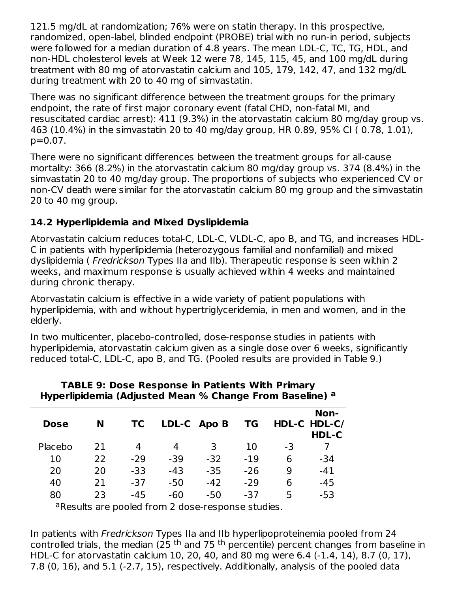121.5 mg/dL at randomization; 76% were on statin therapy. In this prospective, randomized, open-label, blinded endpoint (PROBE) trial with no run-in period, subjects were followed for a median duration of 4.8 years. The mean LDL-C, TC, TG, HDL, and non-HDL cholesterol levels at Week 12 were 78, 145, 115, 45, and 100 mg/dL during treatment with 80 mg of atorvastatin calcium and 105, 179, 142, 47, and 132 mg/dL during treatment with 20 to 40 mg of simvastatin.

There was no significant difference between the treatment groups for the primary endpoint, the rate of first major coronary event (fatal CHD, non-fatal MI, and resuscitated cardiac arrest): 411 (9.3%) in the atorvastatin calcium 80 mg/day group vs. 463 (10.4%) in the simvastatin 20 to 40 mg/day group, HR 0.89, 95% CI ( 0.78, 1.01), p=0.07.

There were no significant differences between the treatment groups for all-cause mortality: 366 (8.2%) in the atorvastatin calcium 80 mg/day group vs. 374 (8.4%) in the simvastatin 20 to 40 mg/day group. The proportions of subjects who experienced CV or non-CV death were similar for the atorvastatin calcium 80 mg group and the simvastatin 20 to 40 mg group.

## **14.2 Hyperlipidemia and Mixed Dyslipidemia**

Atorvastatin calcium reduces total-C, LDL-C, VLDL-C, apo B, and TG, and increases HDL-C in patients with hyperlipidemia (heterozygous familial and nonfamilial) and mixed dyslipidemia ( Fredrickson Types IIa and IIb). Therapeutic response is seen within 2 weeks, and maximum response is usually achieved within 4 weeks and maintained during chronic therapy.

Atorvastatin calcium is effective in a wide variety of patient populations with hyperlipidemia, with and without hypertriglyceridemia, in men and women, and in the elderly.

In two multicenter, placebo-controlled, dose-response studies in patients with hyperlipidemia, atorvastatin calcium given as a single dose over 6 weeks, significantly reduced total-C, LDL-C, apo B, and TG. (Pooled results are provided in Table 9.)

| <b>Dose</b> | N  | ТC    |       | LDL-C Apo B | ΤG    |    | Non-<br>HDL-C HDL-C/<br>HDL-C |
|-------------|----|-------|-------|-------------|-------|----|-------------------------------|
| Placebo     | 21 | 4     | 4     | 3           | 10    | -3 |                               |
| 10          | 22 | $-29$ | $-39$ | $-32$       | $-19$ | 6  | -34                           |
| 20          | 20 | -33   | -43   | $-35$       | $-26$ | 9  | $-41$                         |
| 40          | 21 | $-37$ | $-50$ | $-42$       | $-29$ | 6  | $-45$                         |
| 80          | つろ | $-45$ | $-60$ | $-50$       | $-37$ | 5  | -53                           |

#### **TABLE 9: Dose Response in Patients With Primary Hyperlipidemia (Adjusted Mean % Change From Baseline) a**

aResults are pooled from 2 dose-response studies.

In patients with Fredrickson Types IIa and IIb hyperlipoproteinemia pooled from 24 controlled trials, the median (25 <sup>th</sup> and 75 <sup>th</sup> percentile) percent changes from baseline in HDL-C for atorvastatin calcium 10, 20, 40, and 80 mg were 6.4 (-1.4, 14), 8.7 (0, 17), 7.8 (0, 16), and 5.1 (-2.7, 15), respectively. Additionally, analysis of the pooled data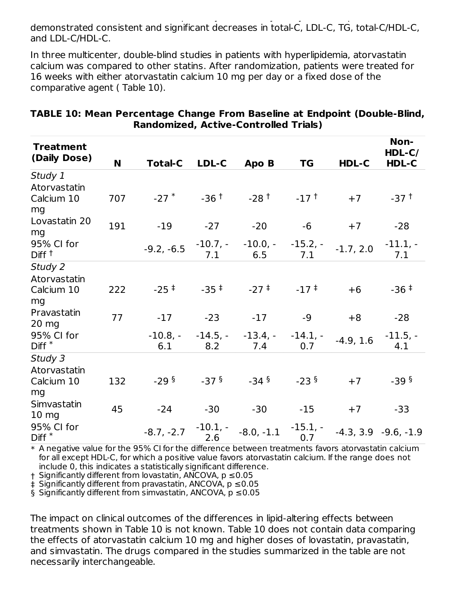7.8 (0, 16), and 5.1 (-2.7, 15), respectively. Additionally, analysis of the pooled data demonstrated consistent and significant decreases in total-C, LDL-C, TG, total-C/HDL-C, and LDL-C/HDL-C.

In three multicenter, double-blind studies in patients with hyperlipidemia, atorvastatin calcium was compared to other statins. After randomization, patients were treated for 16 weeks with either atorvastatin calcium 10 mg per day or a fixed dose of the comparative agent ( Table 10).

| <b>Treatment</b>                |     |                    |                    |                    |                    |             | Non-                   |
|---------------------------------|-----|--------------------|--------------------|--------------------|--------------------|-------------|------------------------|
| (Daily Dose)                    |     |                    |                    |                    |                    |             | $HDL-C/$               |
|                                 | N   | <b>Total-C</b>     | LDL-C              | Apo B              | <b>TG</b>          | HDL-C       | HDL-C                  |
| Study 1                         |     |                    |                    |                    |                    |             |                        |
| Atorvastatin                    |     |                    |                    |                    |                    |             |                        |
| Calcium 10<br>mg                | 707 | $-27$ $*$          | $-36$ <sup>†</sup> | $-28$ <sup>+</sup> | $-17$ <sup>t</sup> | $+7$        | $-37†$                 |
| Lovastatin 20<br>mg             | 191 | $-19$              | $-27$              | $-20$              | $-6$               | $+7$        | $-28$                  |
| 95% CI for<br>Diff <sup>t</sup> |     | $-9.2, -6.5$       | $-10.7, -$<br>7.1  | $-10.0,-$<br>6.5   | $-15.2, -$<br>7.1  | $-1.7, 2.0$ | $-11.1, -$<br>7.1      |
| Study 2                         |     |                    |                    |                    |                    |             |                        |
| Atorvastatin                    |     |                    |                    |                    |                    |             |                        |
| Calcium 10                      | 222 | $-25$ <sup>#</sup> | $-35$ <sup>‡</sup> | $-27$ $+$          | $-17$ $+$          | $+6$        | $-36†$                 |
| mg                              |     |                    |                    |                    |                    |             |                        |
| Pravastatin                     |     |                    |                    |                    |                    |             |                        |
| $20 \text{ mg}$                 | 77  | $-17$              | $-23$              | $-17$              | $-9$               | $+8$        | $-28$                  |
| 95% CI for                      |     | $-10.8, -$         | $-14.5, -$         | $-13.4, -$         | $-14.1,-$          |             | $-11.5, -$             |
| $Diff*$                         |     | 6.1                | 8.2                | 7.4                | 0.7                | $-4.9, 1.6$ | 4.1                    |
| Study 3                         |     |                    |                    |                    |                    |             |                        |
| Atorvastatin                    |     |                    |                    |                    |                    |             |                        |
| Calcium 10                      | 132 | $-29§$             | $-37§$             | $-34$ §            | $-23§$             | $+7$        | $-39§$                 |
| mg                              |     |                    |                    |                    |                    |             |                        |
| Simvastatin                     |     |                    |                    |                    |                    |             |                        |
| $10 \, mg$                      | 45  | $-24$              | $-30$              | $-30$              | $-15$              | $+7$        | $-33$                  |
| 95% CI for<br>$Diff*$           |     | $-8.7, -2.7$       | $-10.1,-$<br>2.6   | $-8.0, -1.1$       | $-15.1, -$<br>0.7  |             | $-4.3, 3.9 -9.6, -1.9$ |

#### **TABLE 10: Mean Percentage Change From Baseline at Endpoint (Double-Blind, Randomized, Active-Controlled Trials)**

 $\ast$  A negative value for the 95% CI for the difference between treatments favors atorvastatin calcium for all except HDL-C, for which a positive value favors atorvastatin calcium. If the range does not include 0, this indicates a statistically significant difference.

† Significantly different from lovastatin, ANCOVA, p ≤0.05

‡ Significantly different from pravastatin, ANCOVA, p ≤0.05

§ Significantly different from simvastatin, ANCOVA, p ≤0.05

The impact on clinical outcomes of the differences in lipid-altering effects between treatments shown in Table 10 is not known. Table 10 does not contain data comparing the effects of atorvastatin calcium 10 mg and higher doses of lovastatin, pravastatin, and simvastatin. The drugs compared in the studies summarized in the table are not necessarily interchangeable.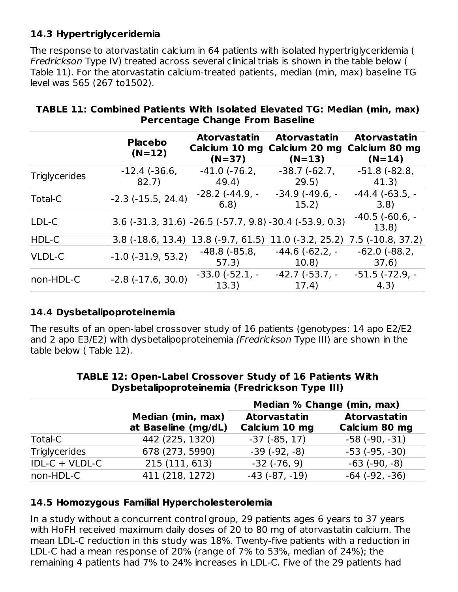#### **14.3 Hypertriglyceridemia**

The response to atorvastatin calcium in 64 patients with isolated hypertriglyceridemia ( Fredrickson Type IV) treated across several clinical trials is shown in the table below ( Table 11). For the atorvastatin calcium-treated patients, median (min, max) baseline TG level was 565 (267 to1502).

|                      | <b>Placebo</b><br>$(N=12)$   | <b>Atorvastatin</b><br>Calcium 10 mg<br>$(N=37)$ | <b>Atorvastatin</b><br>Calcium 20 mg<br>$(N=13)$          | <b>Atorvastatin</b><br>Calcium 80 mg<br>$(N=14)$ |
|----------------------|------------------------------|--------------------------------------------------|-----------------------------------------------------------|--------------------------------------------------|
| <b>Triglycerides</b> | $-12.4$ ( $-36.6$ )<br>82.7) | $-41.0$ $(-76.2,$<br>49.4)                       | $-38.7(-62.7)$<br>29.5)                                   | $-51.8$ $(-82.8,$<br>41.3)                       |
| Total-C              | $-2.3$ $(-15.5, 24.4)$       | $-28.2$ ( $-44.9$ , $-$<br>6.8)                  | $-34.9$ ( $-49.6$ , $-$<br>15.2)                          | $-44.4$ ( $-63.5$ , $-$<br>3.8)                  |
| LDL-C                |                              |                                                  | $3.6$ (-31.3, 31.6) -26.5 (-57.7, 9.8) -30.4 (-53.9, 0.3) | $-40.5$ ( $-60.6$ , $-$<br>13.8                  |
| HDL-C                |                              | $3.8$ (-18.6, 13.4) 13.8 (-9.7, 61.5)            |                                                           | $11.0$ (-3.2, 25.2) 7.5 (-10.8, 37.2)            |
| <b>VLDL-C</b>        | $-1.0$ ( $-31.9$ , 53.2)     | $-48.8$ ( $-85.8$ )<br>57.3)                     | $-44.6(-62.2,-$<br>10.8)                                  | $-62.0$ ( $-88.2$ )<br>37.6)                     |
| non-HDL-C            | $-2.8$ $(-17.6, 30.0)$       | $-33.0$ ( $-52.1$ , $-$<br>13.3)                 | $-42.7$ ( $-53.7$ , $-$<br>17.4)                          | $-51.5$ ( $-72.9$ , $-$<br>(4.3)                 |

#### **TABLE 11: Combined Patients With Isolated Elevated TG: Median (min, max) Percentage Change From Baseline**

#### **14.4 Dysbetalipoproteinemia**

The results of an open-label crossover study of 16 patients (genotypes: 14 apo E2/E2 and 2 apo E3/E2) with dysbetalipoproteinemia (Fredrickson Type III) are shown in the table below ( Table 12).

|                      |                                          | Median % Change (min, max)           |                                      |  |  |
|----------------------|------------------------------------------|--------------------------------------|--------------------------------------|--|--|
|                      | Median (min, max)<br>at Baseline (mg/dL) | <b>Atorvastatin</b><br>Calcium 10 mg | <b>Atorvastatin</b><br>Calcium 80 mg |  |  |
| Total-C              | 442 (225, 1320)                          | $-37$ ( $-85, 17$ )                  | $-58$ $(-90, -31)$                   |  |  |
| <b>Triglycerides</b> | 678 (273, 5990)                          | $-39(-92,-8)$                        | $-53$ ( $-95, -30$ )                 |  |  |
| $IDL-C + VLDL-C$     | 215 (111, 613)                           | $-32$ ( $-76, 9$ )                   | $-63$ ( $-90, -8$ )                  |  |  |
| non-HDL-C            | 411 (218, 1272)                          | $-43$ $(-87, -19)$                   | $-64$ $(-92, -36)$                   |  |  |

#### **TABLE 12: Open-Label Crossover Study of 16 Patients With Dysbetalipoproteinemia (Fredrickson Type III)**

#### **14.5 Homozygous Familial Hypercholesterolemia**

In a study without a concurrent control group, 29 patients ages 6 years to 37 years with HoFH received maximum daily doses of 20 to 80 mg of atorvastatin calcium. The mean LDL-C reduction in this study was 18%. Twenty-five patients with a reduction in LDL-C had a mean response of 20% (range of 7% to 53%, median of 24%); the remaining 4 patients had 7% to 24% increases in LDL-C. Five of the 29 patients had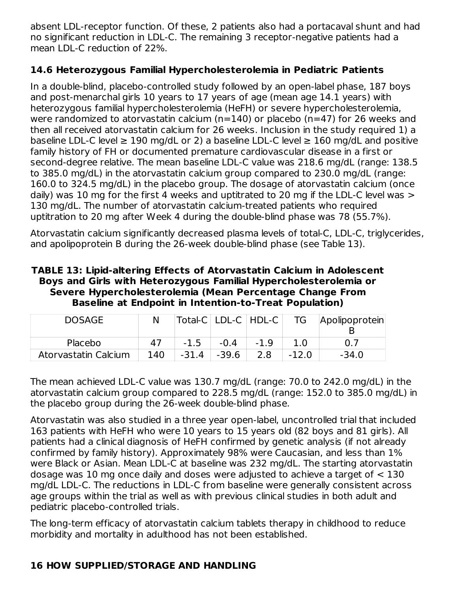absent LDL-receptor function. Of these, 2 patients also had a portacaval shunt and had no significant reduction in LDL-C. The remaining 3 receptor-negative patients had a mean LDL-C reduction of 22%.

## **14.6 Heterozygous Familial Hypercholesterolemia in Pediatric Patients**

In a double-blind, placebo-controlled study followed by an open-label phase, 187 boys and post-menarchal girls 10 years to 17 years of age (mean age 14.1 years) with heterozygous familial hypercholesterolemia (HeFH) or severe hypercholesterolemia, were randomized to atorvastatin calcium (n=140) or placebo (n=47) for 26 weeks and then all received atorvastatin calcium for 26 weeks. Inclusion in the study required 1) a baseline LDL-C level  $\geq 190$  mg/dL or 2) a baseline LDL-C level  $\geq 160$  mg/dL and positive family history of FH or documented premature cardiovascular disease in a first or second-degree relative. The mean baseline LDL-C value was 218.6 mg/dL (range: 138.5 to 385.0 mg/dL) in the atorvastatin calcium group compared to 230.0 mg/dL (range: 160.0 to 324.5 mg/dL) in the placebo group. The dosage of atorvastatin calcium (once daily) was 10 mg for the first 4 weeks and uptitrated to 20 mg if the LDL-C level was  $>$ 130 mg/dL. The number of atorvastatin calcium-treated patients who required uptitration to 20 mg after Week 4 during the double-blind phase was 78 (55.7%).

Atorvastatin calcium significantly decreased plasma levels of total-C, LDL-C, triglycerides, and apolipoprotein B during the 26-week double-blind phase (see Table 13).

**TABLE 13: Lipid-altering Effects of Atorvastatin Calcium in Adolescent Boys and Girls with Heterozygous Familial Hypercholesterolemia or Severe Hypercholesterolemia (Mean Percentage Change From Baseline at Endpoint in Intention-to-Treat Population)**

| <b>DOSAGE</b>        |     |         |        | Total-C   LDL-C   HDL-C | TG      | Apolipoprotein |
|----------------------|-----|---------|--------|-------------------------|---------|----------------|
|                      |     |         |        |                         |         |                |
| Placebo              | 47  | $-1.5$  | $-0.4$ | $-1.9$                  |         | 0.7            |
| Atorvastatin Calcium | 140 | $-31.4$ | -39.6  | 2.8                     | $-12.0$ | $-34.0$        |

The mean achieved LDL-C value was 130.7 mg/dL (range: 70.0 to 242.0 mg/dL) in the atorvastatin calcium group compared to 228.5 mg/dL (range: 152.0 to 385.0 mg/dL) in the placebo group during the 26-week double-blind phase.

Atorvastatin was also studied in a three year open-label, uncontrolled trial that included 163 patients with HeFH who were 10 years to 15 years old (82 boys and 81 girls). All patients had a clinical diagnosis of HeFH confirmed by genetic analysis (if not already confirmed by family history). Approximately 98% were Caucasian, and less than 1% were Black or Asian. Mean LDL-C at baseline was 232 mg/dL. The starting atorvastatin dosage was 10 mg once daily and doses were adjusted to achieve a target of < 130 mg/dL LDL-C. The reductions in LDL-C from baseline were generally consistent across age groups within the trial as well as with previous clinical studies in both adult and pediatric placebo-controlled trials.

The long-term efficacy of atorvastatin calcium tablets therapy in childhood to reduce morbidity and mortality in adulthood has not been established.

## **16 HOW SUPPLIED/STORAGE AND HANDLING**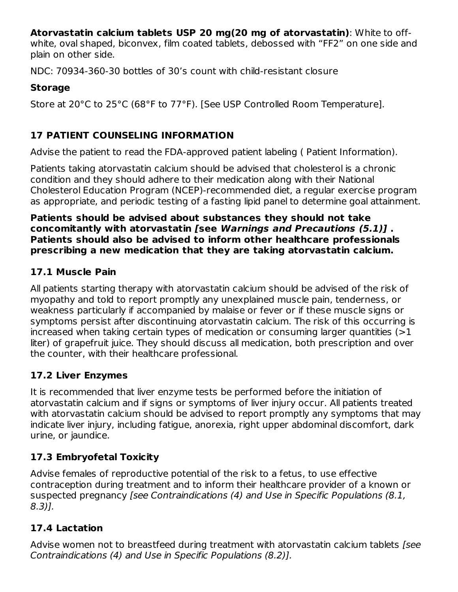**Atorvastatin calcium tablets USP 20 mg(20 mg of atorvastatin)**: White to off-

white, oval shaped, biconvex, film coated tablets, debossed with "FF2" on one side and plain on other side.

NDC: 70934-360-30 bottles of 30's count with child-resistant closure

#### **Storage**

Store at 20°C to 25°C (68°F to 77°F). [See USP Controlled Room Temperature].

## **17 PATIENT COUNSELING INFORMATION**

Advise the patient to read the FDA-approved patient labeling ( Patient Information).

Patients taking atorvastatin calcium should be advised that cholesterol is a chronic condition and they should adhere to their medication along with their National Cholesterol Education Program (NCEP)-recommended diet, a regular exercise program as appropriate, and periodic testing of a fasting lipid panel to determine goal attainment.

#### **Patients should be advised about substances they should not take concomitantly with atorvastatin [see Warnings and Precautions (5.1)] . Patients should also be advised to inform other healthcare professionals prescribing a new medication that they are taking atorvastatin calcium.**

## **17.1 Muscle Pain**

All patients starting therapy with atorvastatin calcium should be advised of the risk of myopathy and told to report promptly any unexplained muscle pain, tenderness, or weakness particularly if accompanied by malaise or fever or if these muscle signs or symptoms persist after discontinuing atorvastatin calcium. The risk of this occurring is increased when taking certain types of medication or consuming larger quantities (>1 liter) of grapefruit juice. They should discuss all medication, both prescription and over the counter, with their healthcare professional.

## **17.2 Liver Enzymes**

It is recommended that liver enzyme tests be performed before the initiation of atorvastatin calcium and if signs or symptoms of liver injury occur. All patients treated with atorvastatin calcium should be advised to report promptly any symptoms that may indicate liver injury, including fatigue, anorexia, right upper abdominal discomfort, dark urine, or jaundice.

# **17.3 Embryofetal Toxicity**

Advise females of reproductive potential of the risk to a fetus, to use effective contraception during treatment and to inform their healthcare provider of a known or suspected pregnancy [see Contraindications (4) and Use in Specific Populations (8.1, 8.3)].

# **17.4 Lactation**

Advise women not to breastfeed during treatment with atorvastatin calcium tablets [see Contraindications (4) and Use in Specific Populations (8.2)].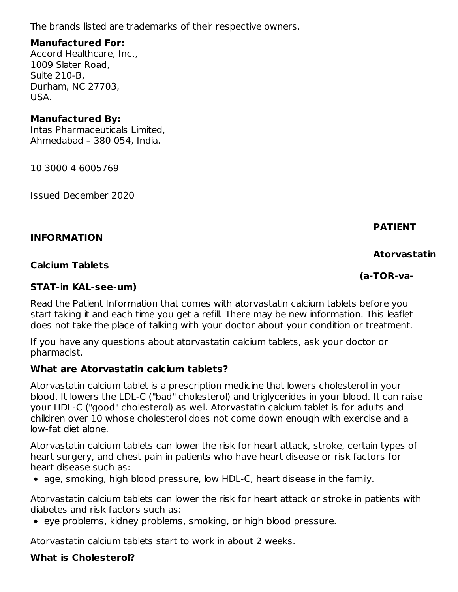The brands listed are trademarks of their respective owners.

#### **Manufactured For:**

Accord Healthcare, Inc., 1009 Slater Road, Suite 210-B, Durham, NC 27703, USA.

#### **Manufactured By:**

Intas Pharmaceuticals Limited, Ahmedabad – 380 054, India.

10 3000 4 6005769

Issued December 2020

#### **INFORMATION**

#### **Calcium Tablets**

#### **STAT-in KAL-see-um)**

Read the Patient Information that comes with atorvastatin calcium tablets before you start taking it and each time you get a refill. There may be new information. This leaflet does not take the place of talking with your doctor about your condition or treatment.

If you have any questions about atorvastatin calcium tablets, ask your doctor or pharmacist.

#### **What are Atorvastatin calcium tablets?**

Atorvastatin calcium tablet is a prescription medicine that lowers cholesterol in your blood. It lowers the LDL-C ("bad" cholesterol) and triglycerides in your blood. It can raise your HDL-C ("good" cholesterol) as well. Atorvastatin calcium tablet is for adults and children over 10 whose cholesterol does not come down enough with exercise and a low-fat diet alone.

Atorvastatin calcium tablets can lower the risk for heart attack, stroke, certain types of heart surgery, and chest pain in patients who have heart disease or risk factors for heart disease such as:

age, smoking, high blood pressure, low HDL-C, heart disease in the family.

Atorvastatin calcium tablets can lower the risk for heart attack or stroke in patients with diabetes and risk factors such as:

• eye problems, kidney problems, smoking, or high blood pressure.

Atorvastatin calcium tablets start to work in about 2 weeks.

#### **What is Cholesterol?**

**PATIENT**

#### **Atorvastatin**

**(a-TOR-va-**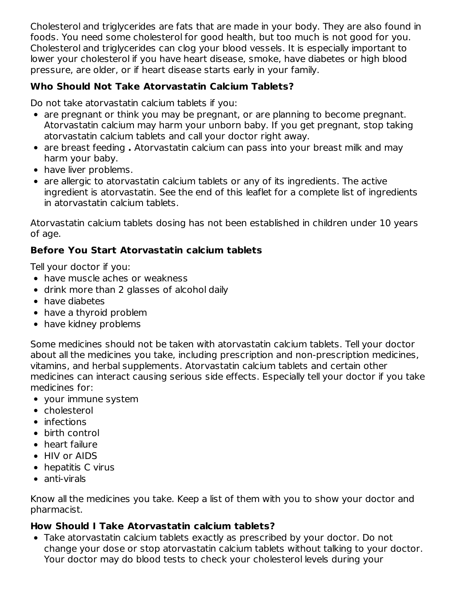Cholesterol and triglycerides are fats that are made in your body. They are also found in foods. You need some cholesterol for good health, but too much is not good for you. Cholesterol and triglycerides can clog your blood vessels. It is especially important to lower your cholesterol if you have heart disease, smoke, have diabetes or high blood pressure, are older, or if heart disease starts early in your family.

## **Who Should Not Take Atorvastatin Calcium Tablets?**

Do not take atorvastatin calcium tablets if you:

- are pregnant or think you may be pregnant, or are planning to become pregnant. Atorvastatin calcium may harm your unborn baby. If you get pregnant, stop taking atorvastatin calcium tablets and call your doctor right away.
- are breast feeding **.** Atorvastatin calcium can pass into your breast milk and may harm your baby.
- have liver problems.
- are allergic to atorvastatin calcium tablets or any of its ingredients. The active ingredient is atorvastatin. See the end of this leaflet for a complete list of ingredients in atorvastatin calcium tablets.

Atorvastatin calcium tablets dosing has not been established in children under 10 years of age.

## **Before You Start Atorvastatin calcium tablets**

Tell your doctor if you:

- have muscle aches or weakness
- drink more than 2 glasses of alcohol daily
- have diabetes
- have a thyroid problem
- have kidney problems

Some medicines should not be taken with atorvastatin calcium tablets. Tell your doctor about all the medicines you take, including prescription and non-prescription medicines, vitamins, and herbal supplements. Atorvastatin calcium tablets and certain other medicines can interact causing serious side effects. Especially tell your doctor if you take medicines for:

- your immune system
- cholesterol
- $\bullet$  infections
- birth control
- heart failure
- HIV or AIDS
- hepatitis C virus
- anti-virals

Know all the medicines you take. Keep a list of them with you to show your doctor and pharmacist.

#### **How Should I Take Atorvastatin calcium tablets?**

Take atorvastatin calcium tablets exactly as prescribed by your doctor. Do not change your dose or stop atorvastatin calcium tablets without talking to your doctor. Your doctor may do blood tests to check your cholesterol levels during your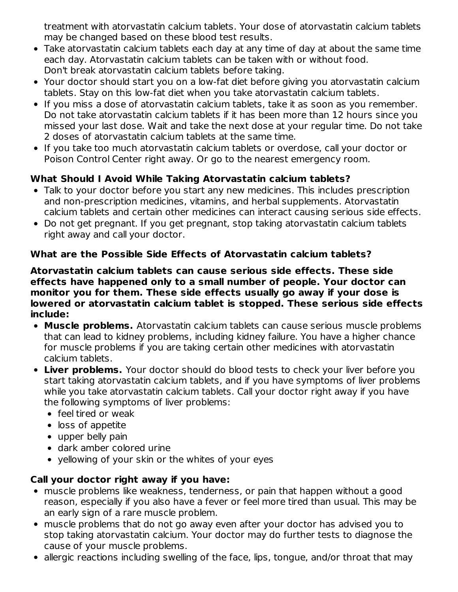treatment with atorvastatin calcium tablets. Your dose of atorvastatin calcium tablets may be changed based on these blood test results.

- Take atorvastatin calcium tablets each day at any time of day at about the same time each day. Atorvastatin calcium tablets can be taken with or without food. Don't break atorvastatin calcium tablets before taking.
- Your doctor should start you on a low-fat diet before giving you atorvastatin calcium tablets. Stay on this low-fat diet when you take atorvastatin calcium tablets.
- If you miss a dose of atorvastatin calcium tablets, take it as soon as you remember. Do not take atorvastatin calcium tablets if it has been more than 12 hours since you missed your last dose. Wait and take the next dose at your regular time. Do not take 2 doses of atorvastatin calcium tablets at the same time.
- If you take too much atorvastatin calcium tablets or overdose, call your doctor or Poison Control Center right away. Or go to the nearest emergency room.

## **What Should I Avoid While Taking Atorvastatin calcium tablets?**

- Talk to your doctor before you start any new medicines. This includes prescription and non-prescription medicines, vitamins, and herbal supplements. Atorvastatin calcium tablets and certain other medicines can interact causing serious side effects.
- Do not get pregnant. If you get pregnant, stop taking atorvastatin calcium tablets right away and call your doctor.

#### **What are the Possible Side Effects of Atorvastatin calcium tablets?**

**Atorvastatin calcium tablets can cause serious side effects. These side effects have happened only to a small number of people. Your doctor can monitor you for them. These side effects usually go away if your dose is lowered or atorvastatin calcium tablet is stopped. These serious side effects include:**

- **Muscle problems.** Atorvastatin calcium tablets can cause serious muscle problems that can lead to kidney problems, including kidney failure. You have a higher chance for muscle problems if you are taking certain other medicines with atorvastatin calcium tablets.
- **Liver problems.** Your doctor should do blood tests to check your liver before you start taking atorvastatin calcium tablets, and if you have symptoms of liver problems while you take atorvastatin calcium tablets. Call your doctor right away if you have the following symptoms of liver problems:
	- feel tired or weak
	- loss of appetite
	- upper belly pain
	- dark amber colored urine
	- yellowing of your skin or the whites of your eyes

#### **Call your doctor right away if you have:**

- muscle problems like weakness, tenderness, or pain that happen without a good reason, especially if you also have a fever or feel more tired than usual. This may be an early sign of a rare muscle problem.
- muscle problems that do not go away even after your doctor has advised you to stop taking atorvastatin calcium. Your doctor may do further tests to diagnose the cause of your muscle problems.
- allergic reactions including swelling of the face, lips, tongue, and/or throat that may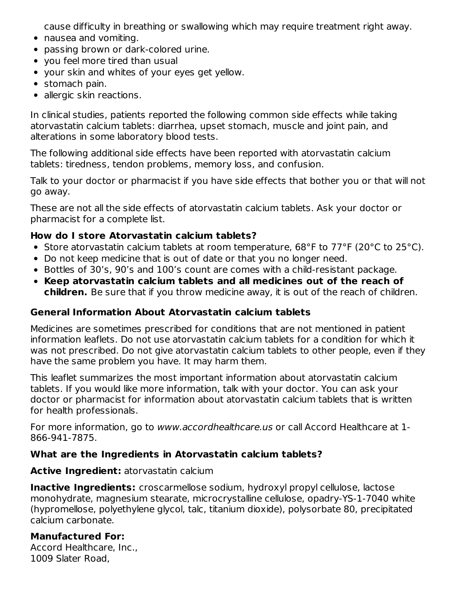cause difficulty in breathing or swallowing which may require treatment right away.

- nausea and vomiting.
- passing brown or dark-colored urine.
- you feel more tired than usual
- your skin and whites of your eyes get yellow.
- stomach pain.
- allergic skin reactions.

In clinical studies, patients reported the following common side effects while taking atorvastatin calcium tablets: diarrhea, upset stomach, muscle and joint pain, and alterations in some laboratory blood tests.

The following additional side effects have been reported with atorvastatin calcium tablets: tiredness, tendon problems, memory loss, and confusion.

Talk to your doctor or pharmacist if you have side effects that bother you or that will not go away.

These are not all the side effects of atorvastatin calcium tablets. Ask your doctor or pharmacist for a complete list.

#### **How do I store Atorvastatin calcium tablets?**

- Store atorvastatin calcium tablets at room temperature, 68°F to 77°F (20°C to 25°C).
- Do not keep medicine that is out of date or that you no longer need.
- Bottles of 30's, 90's and 100's count are comes with a child-resistant package.
- **Keep atorvastatin calcium tablets and all medicines out of the reach of children.** Be sure that if you throw medicine away, it is out of the reach of children.

#### **General Information About Atorvastatin calcium tablets**

Medicines are sometimes prescribed for conditions that are not mentioned in patient information leaflets. Do not use atorvastatin calcium tablets for a condition for which it was not prescribed. Do not give atorvastatin calcium tablets to other people, even if they have the same problem you have. It may harm them.

This leaflet summarizes the most important information about atorvastatin calcium tablets. If you would like more information, talk with your doctor. You can ask your doctor or pharmacist for information about atorvastatin calcium tablets that is written for health professionals.

For more information, go to www.accordhealthcare.us or call Accord Healthcare at 1- 866-941-7875.

#### **What are the Ingredients in Atorvastatin calcium tablets?**

#### **Active Ingredient:** atorvastatin calcium

**Inactive Ingredients:** croscarmellose sodium, hydroxyl propyl cellulose, lactose monohydrate, magnesium stearate, microcrystalline cellulose, opadry-YS-1-7040 white (hypromellose, polyethylene glycol, talc, titanium dioxide), polysorbate 80, precipitated calcium carbonate.

## **Manufactured For:**

Accord Healthcare, Inc., 1009 Slater Road,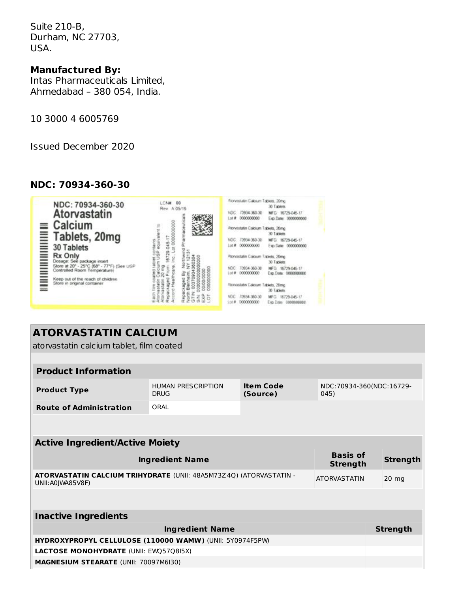Suite 210-B, Durham, NC 27703, USA.

### **Manufactured By:**

Intas Pharmaceuticals Limited, Ahmedabad – 380 054, India.

10 3000 4 6005769

Issued December 2020

#### **NDC: 70934-360-30**

| NDC: 70934-360-30<br>Atorvastatin<br>Calcium<br>Tablets, 20mg<br><b>30 Tablets</b>                                                                                                    | <b>LCN#</b><br>06<br>Rev. A 05/19<br>contains<br>ăgur | Atonyastatin Calcium Tablets, 20mg<br>30 Tablets<br>MFG 16729-045-17<br>70934-360-30<br>NDC:<br>00000000<br>Lot #<br>Exp.Date: 0000000000<br>Atonvastatin Calcium Tablets, 20mg<br>30 Tablets<br>NDC 70934-360-30<br>MFG 16729-045-17<br>20000000<br>反复<br>Exp. Date: 0000000000 |
|---------------------------------------------------------------------------------------------------------------------------------------------------------------------------------------|-------------------------------------------------------|----------------------------------------------------------------------------------------------------------------------------------------------------------------------------------------------------------------------------------------------------------------------------------|
| Rx Only<br>Dosage: See package insert<br>Store at 20" - 25"C (68" - 77"F) (See USP<br>Controlled Room Temperature)<br>Keep out of the reach of children<br>Store in onginal container |                                                       | Atonvastatin Calicsum Tablets, 20mg<br>30 Tablets<br>MFG.<br>16729-045-17<br>70934-360-30<br>MDC:<br>000000000<br>Exp.Date: 0000000000<br>Lot #<br>Alcinvission Calcium Tablets, 20mg<br>30 Tablets<br>MFG.<br>1934-360-30<br>16729-045-17                                       |

# **ATORVASTATIN CALCIUM**

atorvastatin calcium tablet, film coated

| <b>Product Information</b>                                                              |                                                                                  |  |                     |                          |  |
|-----------------------------------------------------------------------------------------|----------------------------------------------------------------------------------|--|---------------------|--------------------------|--|
| <b>Product Type</b>                                                                     | <b>Item Code</b><br><b>HUMAN PRESCRIPTION</b><br><b>DRUG</b><br>(Source)<br>045) |  |                     | NDC:70934-360(NDC:16729- |  |
| <b>Route of Administration</b>                                                          | ORAI                                                                             |  |                     |                          |  |
|                                                                                         |                                                                                  |  |                     |                          |  |
| <b>Active Ingredient/Active Moiety</b>                                                  |                                                                                  |  |                     |                          |  |
| <b>Basis of</b><br><b>Ingredient Name</b>                                               |                                                                                  |  | <b>Strength</b>     | <b>Strength</b>          |  |
| ATORVASTATIN CALCIUM TRIHYDRATE (UNII: 48A5M73Z4Q) (ATORVASTATIN -<br>UNII: A0JWA85V8F) |                                                                                  |  | <b>ATORVASTATIN</b> | 20 mg                    |  |
|                                                                                         |                                                                                  |  |                     |                          |  |
| <b>Inactive Ingredients</b>                                                             |                                                                                  |  |                     |                          |  |
|                                                                                         | <b>Ingredient Name</b>                                                           |  |                     | <b>Strength</b>          |  |
| HYDROXYPROPYL CELLULOSE (110000 WAMW) (UNII: 5Y0974F5PW)                                |                                                                                  |  |                     |                          |  |
| <b>LACTOSE MONOHYDRATE (UNII: EWQ57Q8I5X)</b>                                           |                                                                                  |  |                     |                          |  |
| <b>MAGNESIUM STEARATE (UNII: 70097M6I30)</b>                                            |                                                                                  |  |                     |                          |  |
|                                                                                         |                                                                                  |  |                     |                          |  |